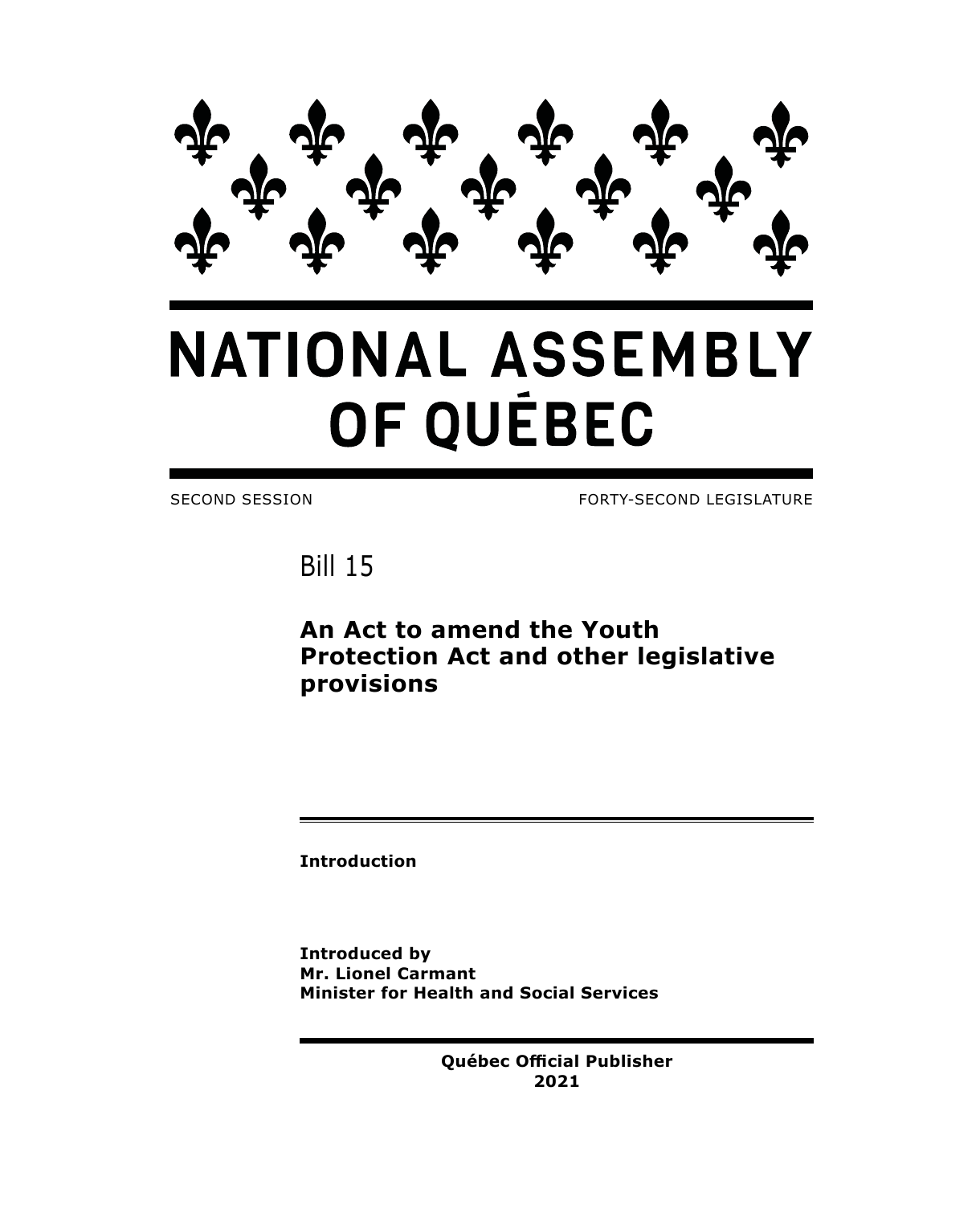

# **NATIONAL ASSEMBLY** OF QUÉBEC

SECOND SESSION FORTY-SECOND LEGISLATURE

Bill 15

**An Act to amend the Youth Protection Act and other legislative provisions**

**Introduction**

**Introduced by Mr. Lionel Carmant Minister for Health and Social Services**

> **Québec Official Publisher 2021**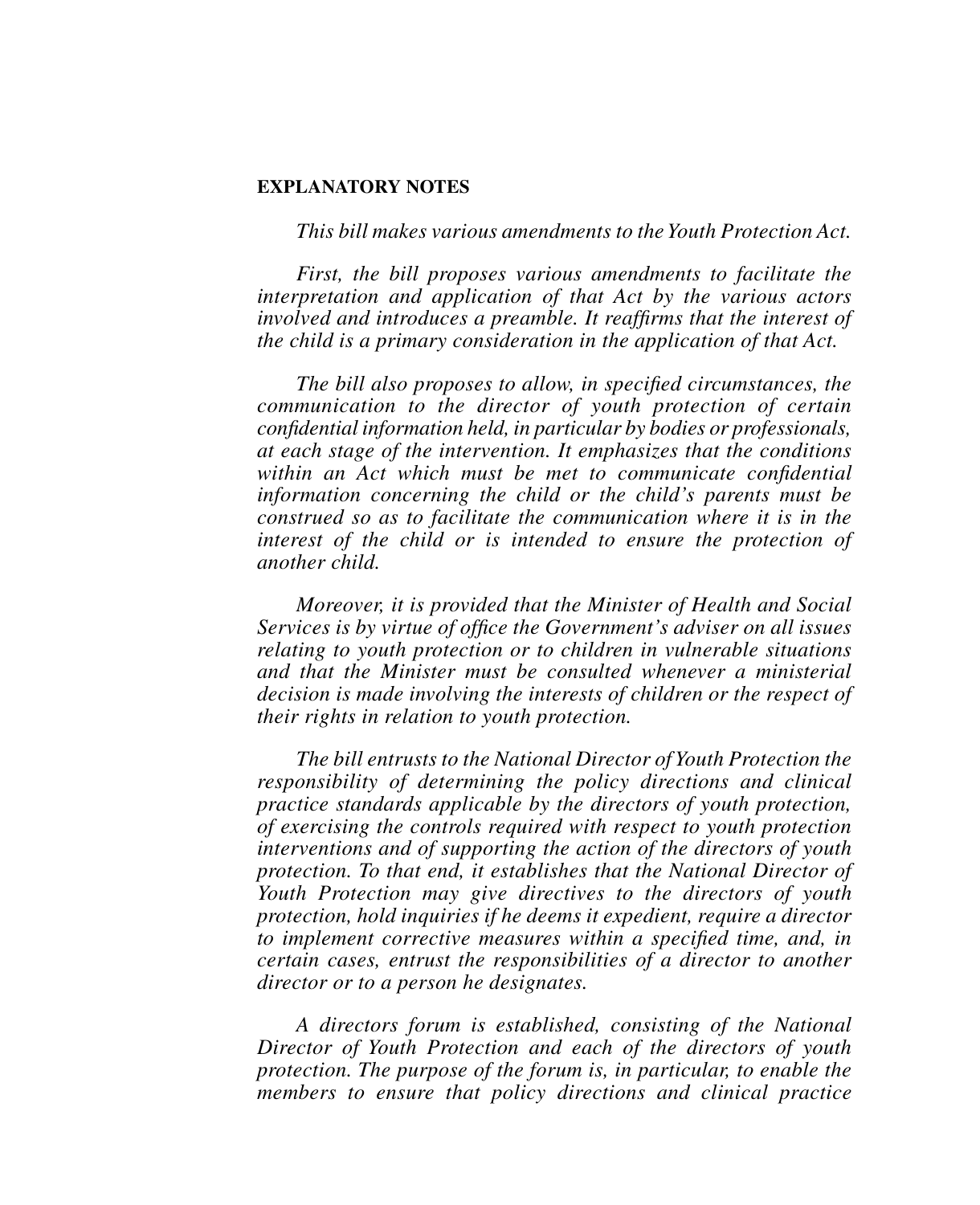## **EXPLANATORY NOTES**

*This bill makes various amendments to the Youth Protection Act.*

*First, the bill proposes various amendments to facilitate the interpretation and application of that Act by the various actors involved and introduces a preamble. It reaffirms that the interest of the child is a primary consideration in the application of that Act.*

*The bill also proposes to allow, in specified circumstances, the communication to the director of youth protection of certain confidential information held, in particular by bodies or professionals, at each stage of the intervention. It emphasizes that the conditions within an Act which must be met to communicate confidential information concerning the child or the child's parents must be construed so as to facilitate the communication where it is in the interest of the child or is intended to ensure the protection of another child.*

*Moreover, it is provided that the Minister of Health and Social Services is by virtue of office the Government's adviser on all issues relating to youth protection or to children in vulnerable situations and that the Minister must be consulted whenever a ministerial decision is made involving the interests of children or the respect of their rights in relation to youth protection.*

*The bill entrusts to the National Director of Youth Protection the responsibility of determining the policy directions and clinical practice standards applicable by the directors of youth protection, of exercising the controls required with respect to youth protection interventions and of supporting the action of the directors of youth protection. To that end, it establishes that the National Director of Youth Protection may give directives to the directors of youth protection, hold inquiries if he deems it expedient, require a director to implement corrective measures within a specified time, and, in certain cases, entrust the responsibilities of a director to another director or to a person he designates.*

*A directors forum is established, consisting of the National Director of Youth Protection and each of the directors of youth protection. The purpose of the forum is, in particular, to enable the members to ensure that policy directions and clinical practice*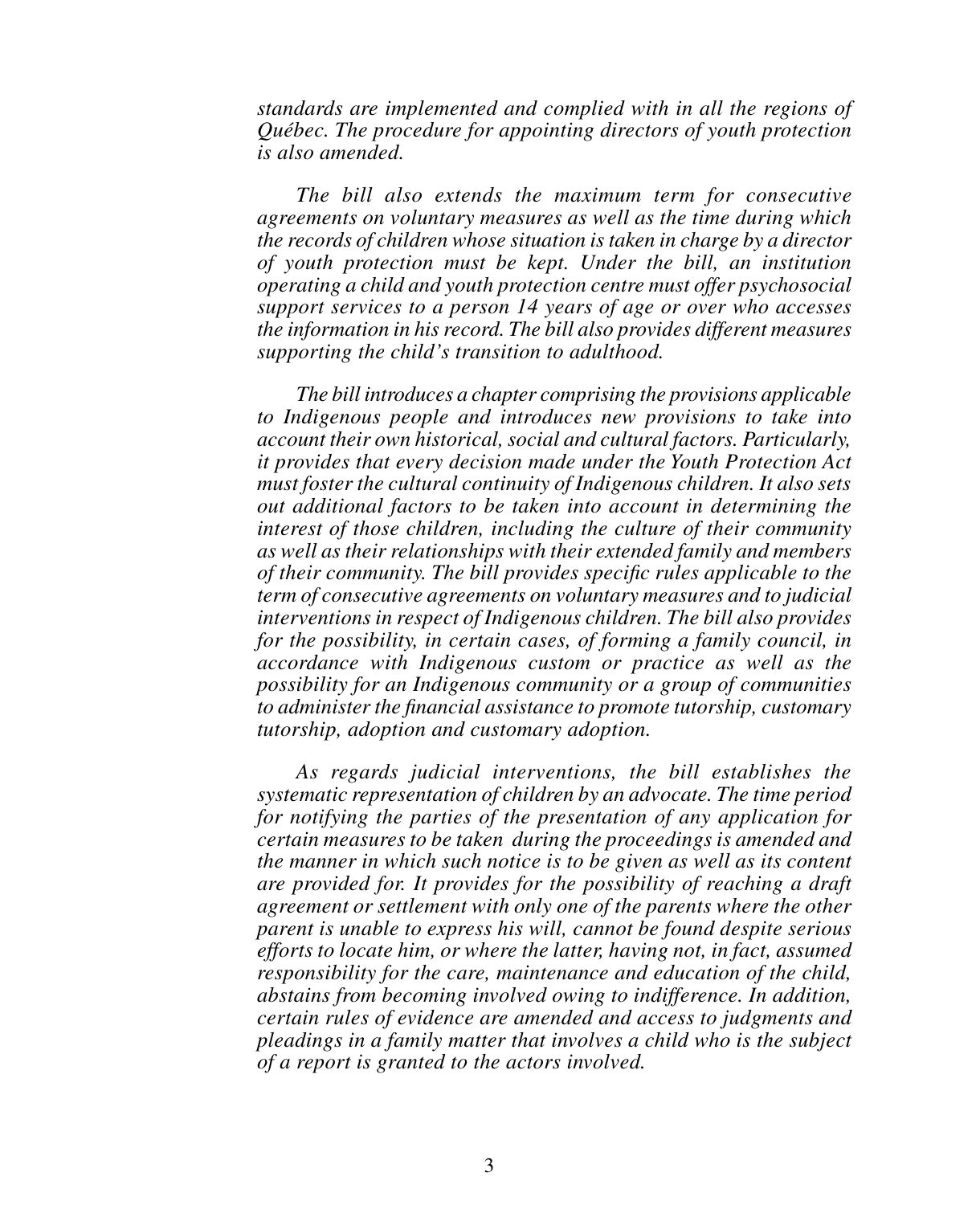*standards are implemented and complied with in all the regions of Québec. The procedure for appointing directors of youth protection is also amended.*

*The bill also extends the maximum term for consecutive agreements on voluntary measures as well as the time during which the records of children whose situation is taken in charge by a director of youth protection must be kept. Under the bill, an institution operating a child and youth protection centre must offer psychosocial support services to a person 14 years of age or over who accesses the information in his record. The bill also provides different measures supporting the child's transition to adulthood.*

*The bill introduces a chapter comprising the provisions applicable to Indigenous people and introduces new provisions to take into account their own historical, social and cultural factors. Particularly, it provides that every decision made under the Youth Protection Act must foster the cultural continuity of Indigenous children. It also sets out additional factors to be taken into account in determining the interest of those children, including the culture of their community as well as their relationships with their extended family and members of their community. The bill provides specific rules applicable to the term of consecutive agreements on voluntary measures and to judicial interventions in respect of Indigenous children. The bill also provides for the possibility, in certain cases, of forming a family council, in accordance with Indigenous custom or practice as well as the possibility for an Indigenous community or a group of communities to administer the financial assistance to promote tutorship, customary tutorship, adoption and customary adoption.*

*As regards judicial interventions, the bill establishes the systematic representation of children by an advocate. The time period for notifying the parties of the presentation of any application for certain measures to be taken during the proceedings is amended and the manner in which such notice is to be given as well as its content are provided for. It provides for the possibility of reaching a draft agreement or settlement with only one of the parents where the other parent is unable to express his will, cannot be found despite serious efforts to locate him, or where the latter, having not, in fact, assumed responsibility for the care, maintenance and education of the child, abstains from becoming involved owing to indifference. In addition, certain rules of evidence are amended and access to judgments and pleadings in a family matter that involves a child who is the subject of a report is granted to the actors involved.*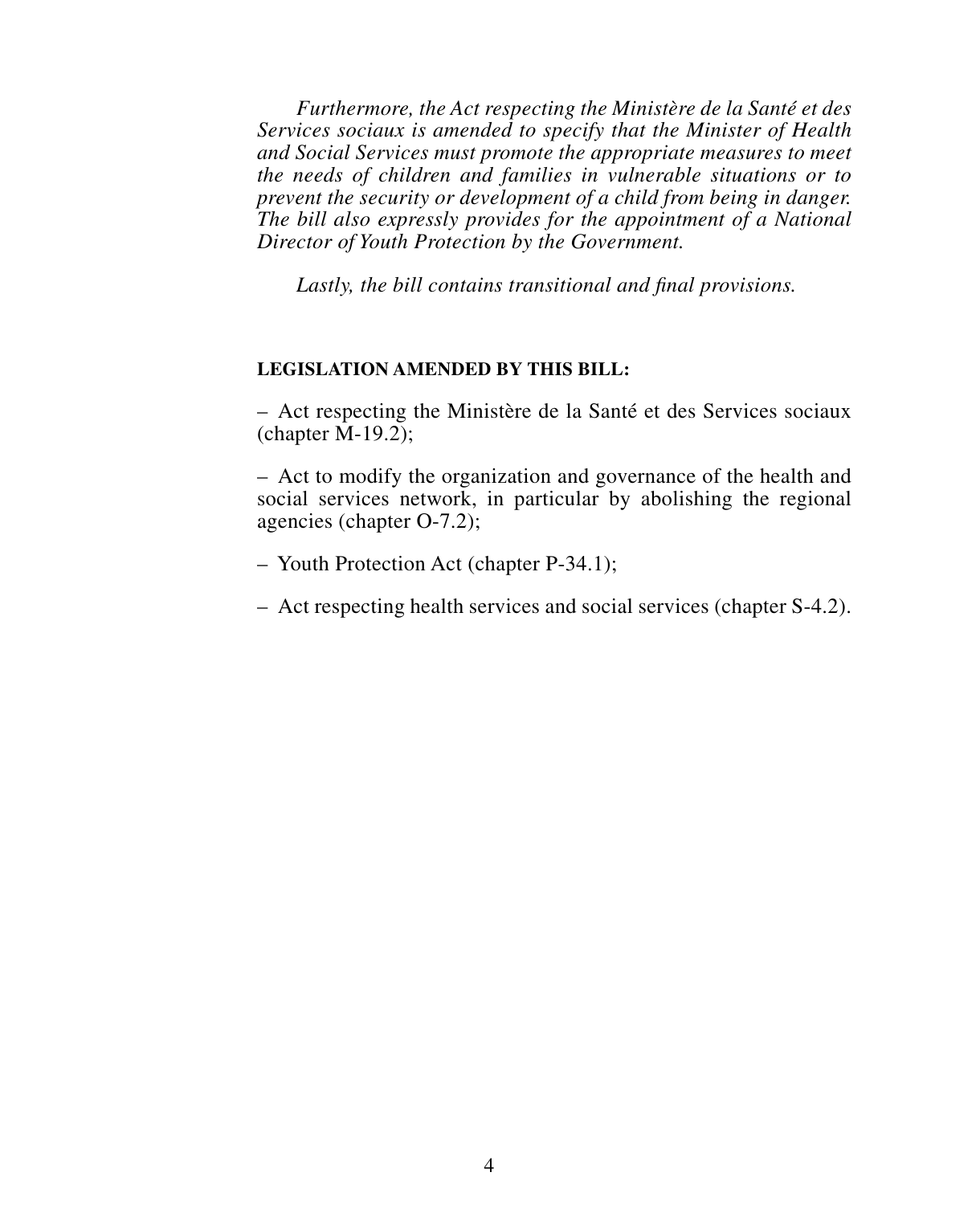*Furthermore, the Act respecting the Ministère de la Santé et des Services sociaux is amended to specify that the Minister of Health and Social Services must promote the appropriate measures to meet the needs of children and families in vulnerable situations or to prevent the security or development of a child from being in danger. The bill also expressly provides for the appointment of a National Director of Youth Protection by the Government.*

*Lastly, the bill contains transitional and final provisions.*

## **LEGISLATION AMENDED BY THIS BILL:**

– Act respecting the Ministère de la Santé et des Services sociaux (chapter  $\overline{M-19.2}$ );

– Act to modify the organization and governance of the health and social services network, in particular by abolishing the regional agencies (chapter O-7.2);

- Youth Protection Act (chapter P-34.1);
- Act respecting health services and social services (chapter S-4.2).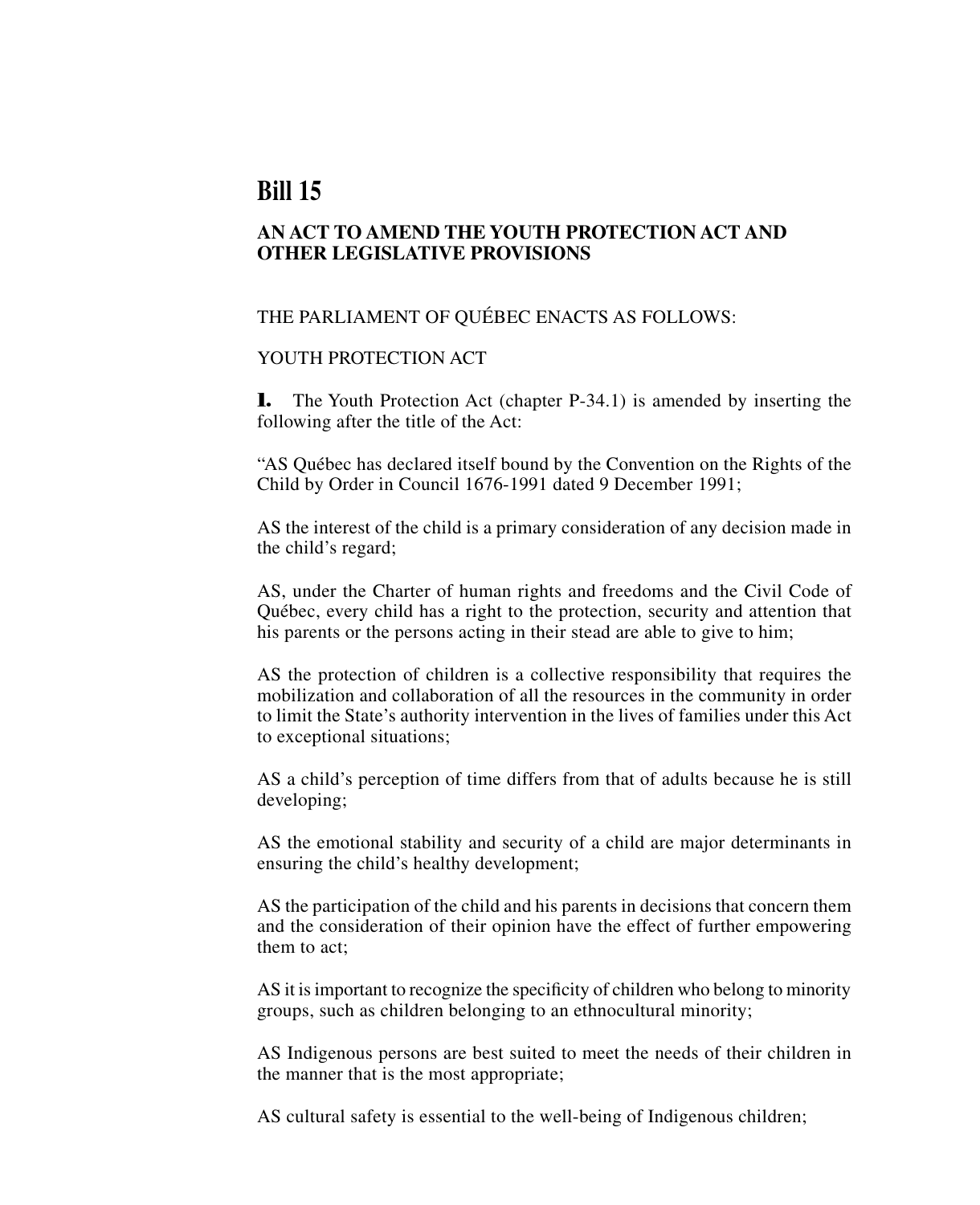## **Bill 15**

## **AN ACT TO AMEND THE YOUTH PROTECTION ACT AND OTHER LEGISLATIVE PROVISIONS**

## THE PARLIAMENT OF QUÉBEC ENACTS AS FOLLOWS:

## YOUTH PROTECTION ACT

**1.** The Youth Protection Act (chapter P-34.1) is amended by inserting the following after the title of the Act:

"AS Québec has declared itself bound by the Convention on the Rights of the Child by Order in Council 1676-1991 dated 9 December 1991;

AS the interest of the child is a primary consideration of any decision made in the child's regard;

AS, under the Charter of human rights and freedoms and the Civil Code of Québec, every child has a right to the protection, security and attention that his parents or the persons acting in their stead are able to give to him;

AS the protection of children is a collective responsibility that requires the mobilization and collaboration of all the resources in the community in order to limit the State's authority intervention in the lives of families under this Act to exceptional situations;

AS a child's perception of time differs from that of adults because he is still developing;

AS the emotional stability and security of a child are major determinants in ensuring the child's healthy development;

AS the participation of the child and his parents in decisions that concern them and the consideration of their opinion have the effect of further empowering them to act;

AS it is important to recognize the specificity of children who belong to minority groups, such as children belonging to an ethnocultural minority;

AS Indigenous persons are best suited to meet the needs of their children in the manner that is the most appropriate;

AS cultural safety is essential to the well-being of Indigenous children;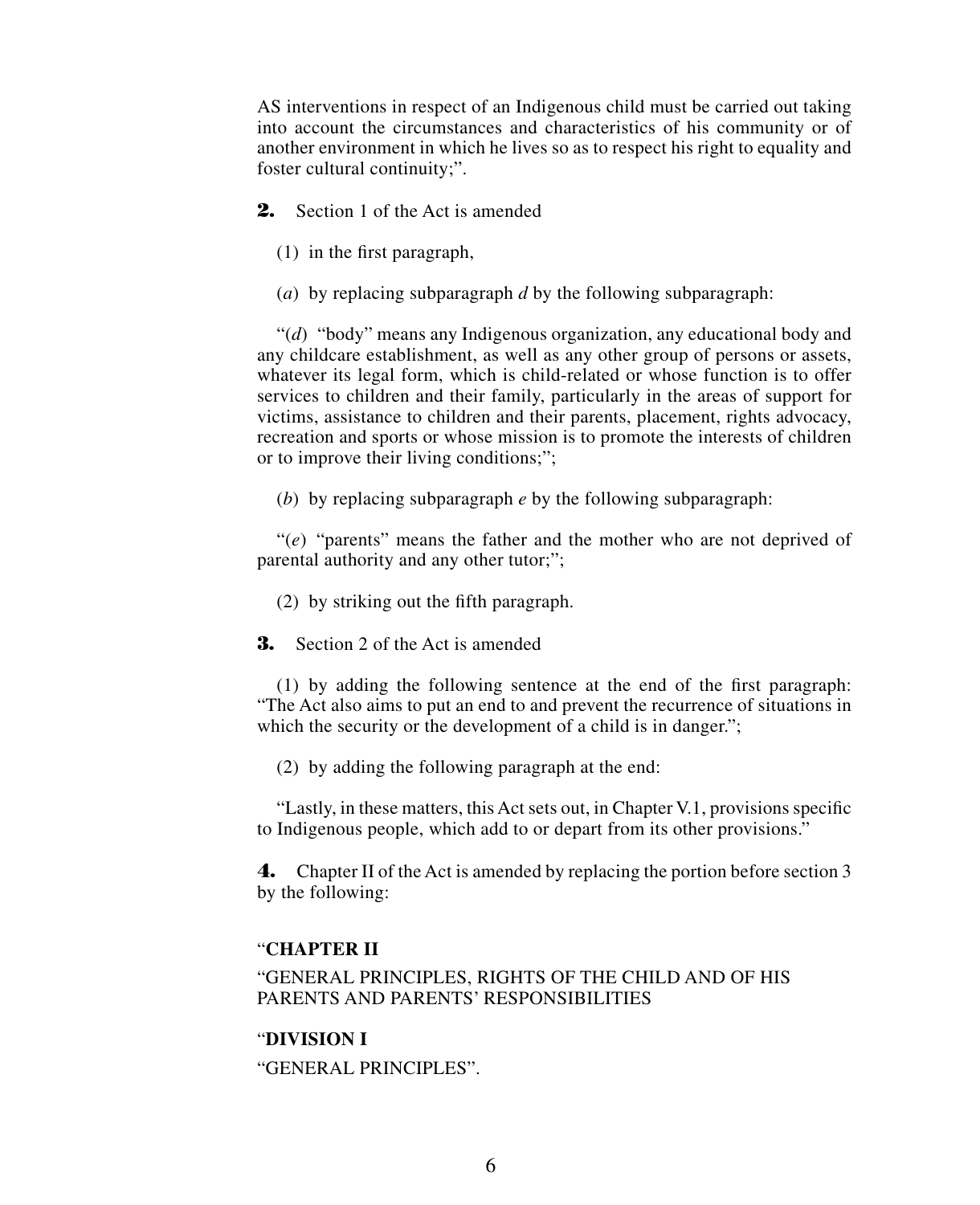AS interventions in respect of an Indigenous child must be carried out taking into account the circumstances and characteristics of his community or of another environment in which he lives so as to respect his right to equality and foster cultural continuity;".

**2.** Section 1 of the Act is amended

(1) in the first paragraph,

(*a*) by replacing subparagraph *d* by the following subparagraph:

"(*d*) "body" means any Indigenous organization, any educational body and any childcare establishment, as well as any other group of persons or assets, whatever its legal form, which is child-related or whose function is to offer services to children and their family, particularly in the areas of support for victims, assistance to children and their parents, placement, rights advocacy, recreation and sports or whose mission is to promote the interests of children or to improve their living conditions;";

(*b*) by replacing subparagraph *e* by the following subparagraph:

"(*e*) "parents" means the father and the mother who are not deprived of parental authority and any other tutor;";

(2) by striking out the fifth paragraph.

**3.** Section 2 of the Act is amended

(1) by adding the following sentence at the end of the first paragraph: "The Act also aims to put an end to and prevent the recurrence of situations in which the security or the development of a child is in danger.";

(2) by adding the following paragraph at the end:

"Lastly, in these matters, this Act sets out, in Chapter V.1, provisions specific to Indigenous people, which add to or depart from its other provisions."

**4.** Chapter II of the Act is amended by replacing the portion before section 3 by the following:

## "**CHAPTER II**

"GENERAL PRINCIPLES, RIGHTS OF THE CHILD AND OF HIS PARENTS AND PARENTS' RESPONSIBILITIES

## "**DIVISION I**

"GENERAL PRINCIPLES".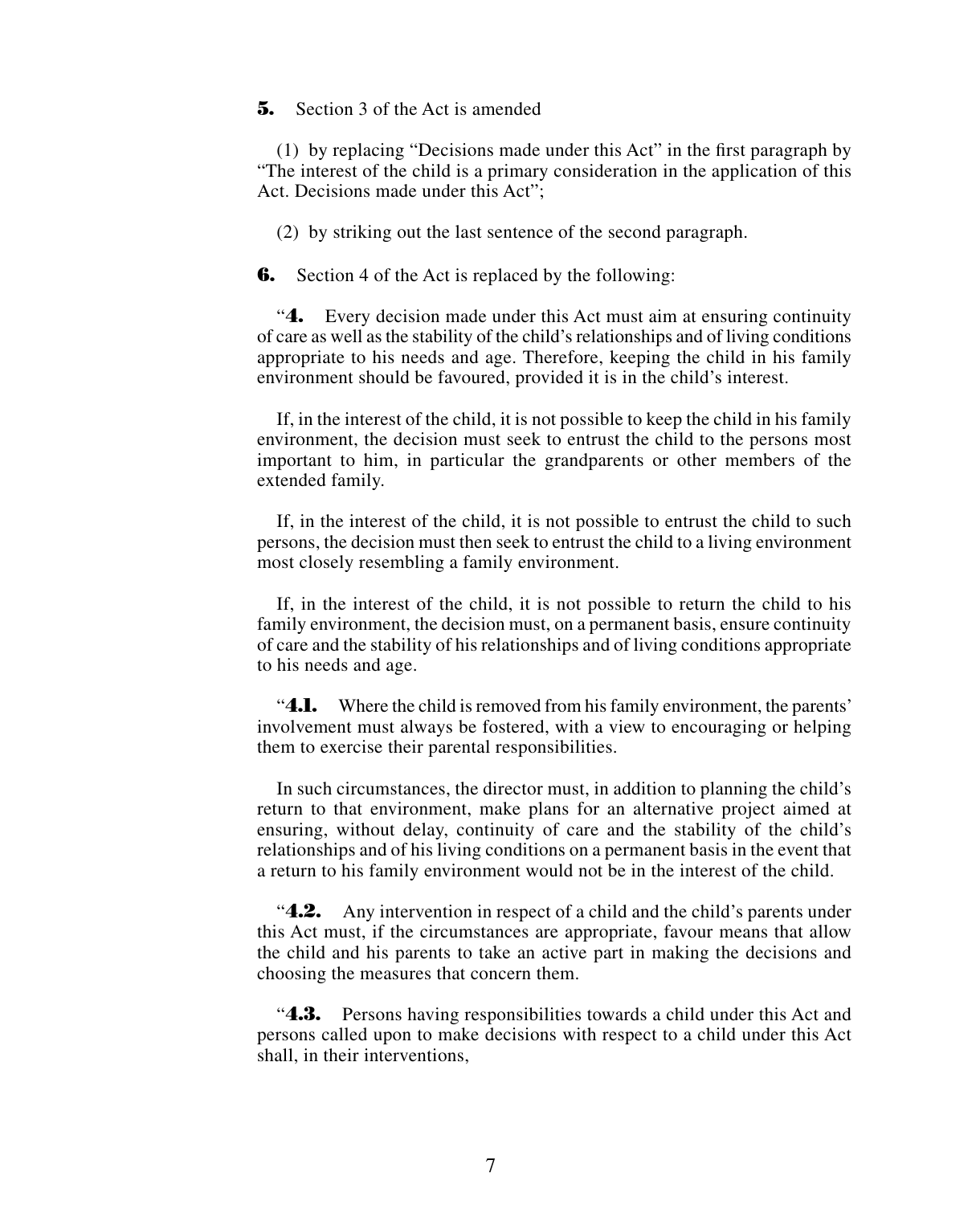#### **5.** Section 3 of the Act is amended

(1) by replacing "Decisions made under this Act" in the first paragraph by "The interest of the child is a primary consideration in the application of this Act. Decisions made under this Act";

(2) by striking out the last sentence of the second paragraph.

**6.** Section 4 of the Act is replaced by the following:

"**4.** Every decision made under this Act must aim at ensuring continuity of care as well as the stability of the child's relationships and of living conditions appropriate to his needs and age. Therefore, keeping the child in his family environment should be favoured, provided it is in the child's interest.

If, in the interest of the child, it is not possible to keep the child in his family environment, the decision must seek to entrust the child to the persons most important to him, in particular the grandparents or other members of the extended family.

If, in the interest of the child, it is not possible to entrust the child to such persons, the decision must then seek to entrust the child to a living environment most closely resembling a family environment.

If, in the interest of the child, it is not possible to return the child to his family environment, the decision must, on a permanent basis, ensure continuity of care and the stability of his relationships and of living conditions appropriate to his needs and age.

"**4.1.** Where the child is removed from his family environment, the parents' involvement must always be fostered, with a view to encouraging or helping them to exercise their parental responsibilities.

In such circumstances, the director must, in addition to planning the child's return to that environment, make plans for an alternative project aimed at ensuring, without delay, continuity of care and the stability of the child's relationships and of his living conditions on a permanent basis in the event that a return to his family environment would not be in the interest of the child.

"**4.2.** Any intervention in respect of a child and the child's parents under this Act must, if the circumstances are appropriate, favour means that allow the child and his parents to take an active part in making the decisions and choosing the measures that concern them.

"**4.3.** Persons having responsibilities towards a child under this Act and persons called upon to make decisions with respect to a child under this Act shall, in their interventions,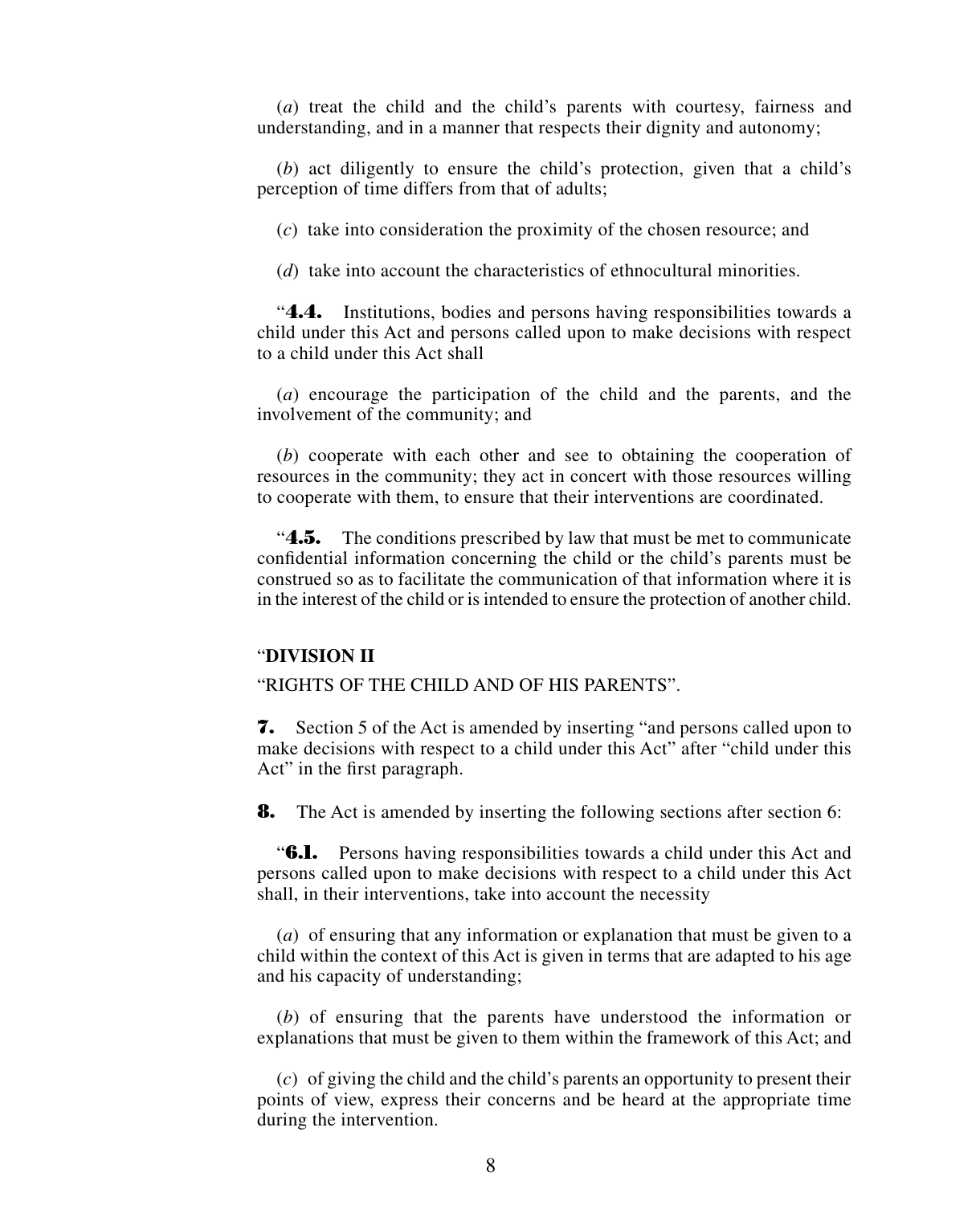(*a*) treat the child and the child's parents with courtesy, fairness and understanding, and in a manner that respects their dignity and autonomy;

(*b*) act diligently to ensure the child's protection, given that a child's perception of time differs from that of adults;

(*c*) take into consideration the proximity of the chosen resource; and

(*d*) take into account the characteristics of ethnocultural minorities.

"**4.4.** Institutions, bodies and persons having responsibilities towards a child under this Act and persons called upon to make decisions with respect to a child under this Act shall

(*a*) encourage the participation of the child and the parents, and the involvement of the community; and

(*b*) cooperate with each other and see to obtaining the cooperation of resources in the community; they act in concert with those resources willing to cooperate with them, to ensure that their interventions are coordinated.

"**4.5.** The conditions prescribed by law that must be met to communicate confidential information concerning the child or the child's parents must be construed so as to facilitate the communication of that information where it is in the interest of the child or is intended to ensure the protection of another child.

## "**DIVISION II**

"RIGHTS OF THE CHILD AND OF HIS PARENTS".

**7.** Section 5 of the Act is amended by inserting "and persons called upon to make decisions with respect to a child under this Act" after "child under this Act" in the first paragraph.

**8.** The Act is amended by inserting the following sections after section 6:

"**6.1.** Persons having responsibilities towards a child under this Act and persons called upon to make decisions with respect to a child under this Act shall, in their interventions, take into account the necessity

(*a*) of ensuring that any information or explanation that must be given to a child within the context of this Act is given in terms that are adapted to his age and his capacity of understanding;

(*b*) of ensuring that the parents have understood the information or explanations that must be given to them within the framework of this Act; and

(*c*) of giving the child and the child's parents an opportunity to present their points of view, express their concerns and be heard at the appropriate time during the intervention.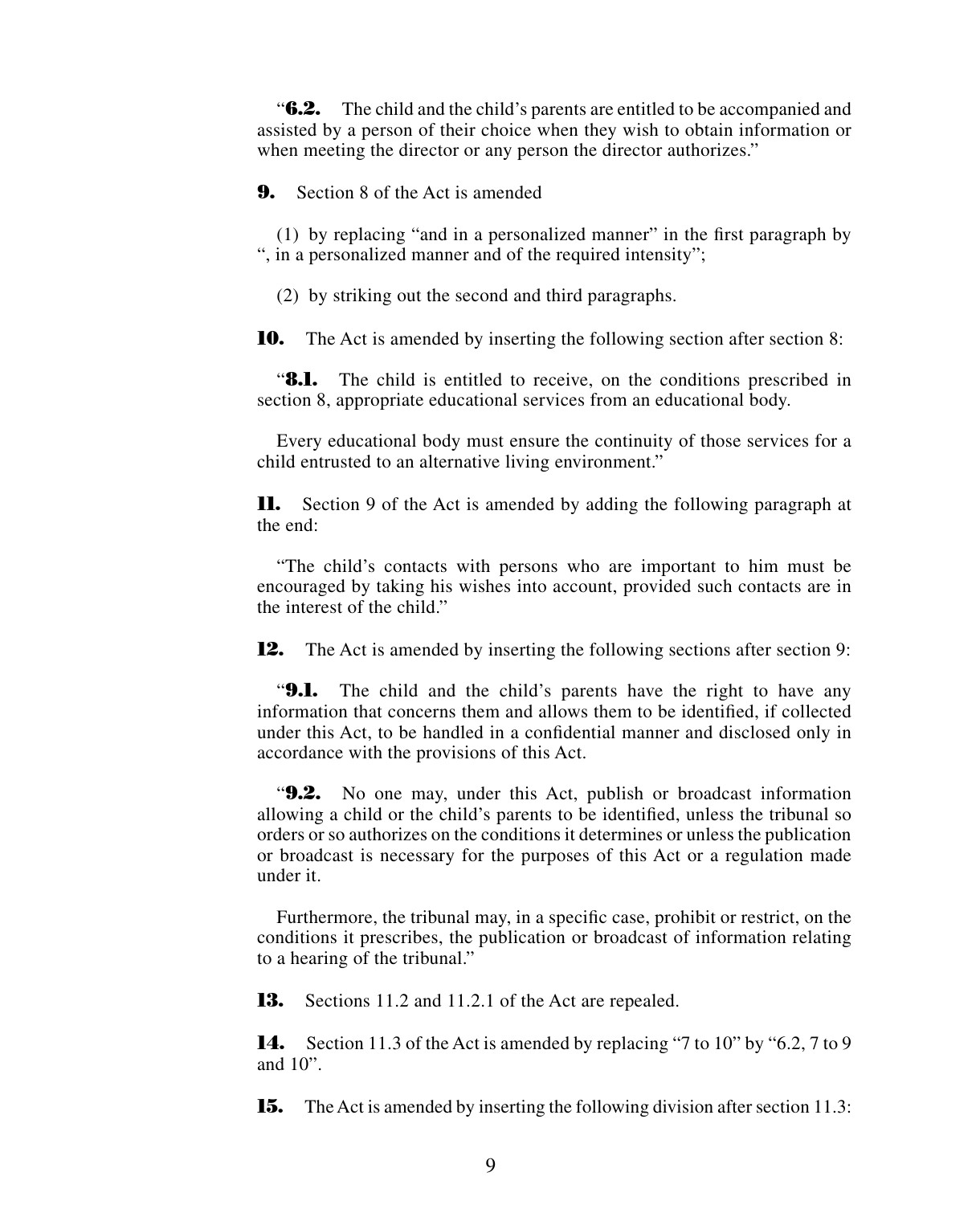"**6.2.** The child and the child's parents are entitled to be accompanied and assisted by a person of their choice when they wish to obtain information or when meeting the director or any person the director authorizes."

**9.** Section 8 of the Act is amended

(1) by replacing "and in a personalized manner" in the first paragraph by ", in a personalized manner and of the required intensity";

(2) by striking out the second and third paragraphs.

**10.** The Act is amended by inserting the following section after section 8:

**8.1.** The child is entitled to receive, on the conditions prescribed in section 8, appropriate educational services from an educational body.

Every educational body must ensure the continuity of those services for a child entrusted to an alternative living environment."

**11.** Section 9 of the Act is amended by adding the following paragraph at the end:

"The child's contacts with persons who are important to him must be encouraged by taking his wishes into account, provided such contacts are in the interest of the child."

**12.** The Act is amended by inserting the following sections after section 9:

"**9.1.** The child and the child's parents have the right to have any information that concerns them and allows them to be identified, if collected under this Act, to be handled in a confidential manner and disclosed only in accordance with the provisions of this Act.

"**9.2.** No one may, under this Act, publish or broadcast information allowing a child or the child's parents to be identified, unless the tribunal so orders or so authorizes on the conditions it determines or unless the publication or broadcast is necessary for the purposes of this Act or a regulation made under it.

Furthermore, the tribunal may, in a specific case, prohibit or restrict, on the conditions it prescribes, the publication or broadcast of information relating to a hearing of the tribunal."

**13.** Sections 11.2 and 11.2.1 of the Act are repealed.

**14.** Section 11.3 of the Act is amended by replacing "7 to 10" by "6.2, 7 to 9 and 10".

**15.** The Act is amended by inserting the following division after section 11.3: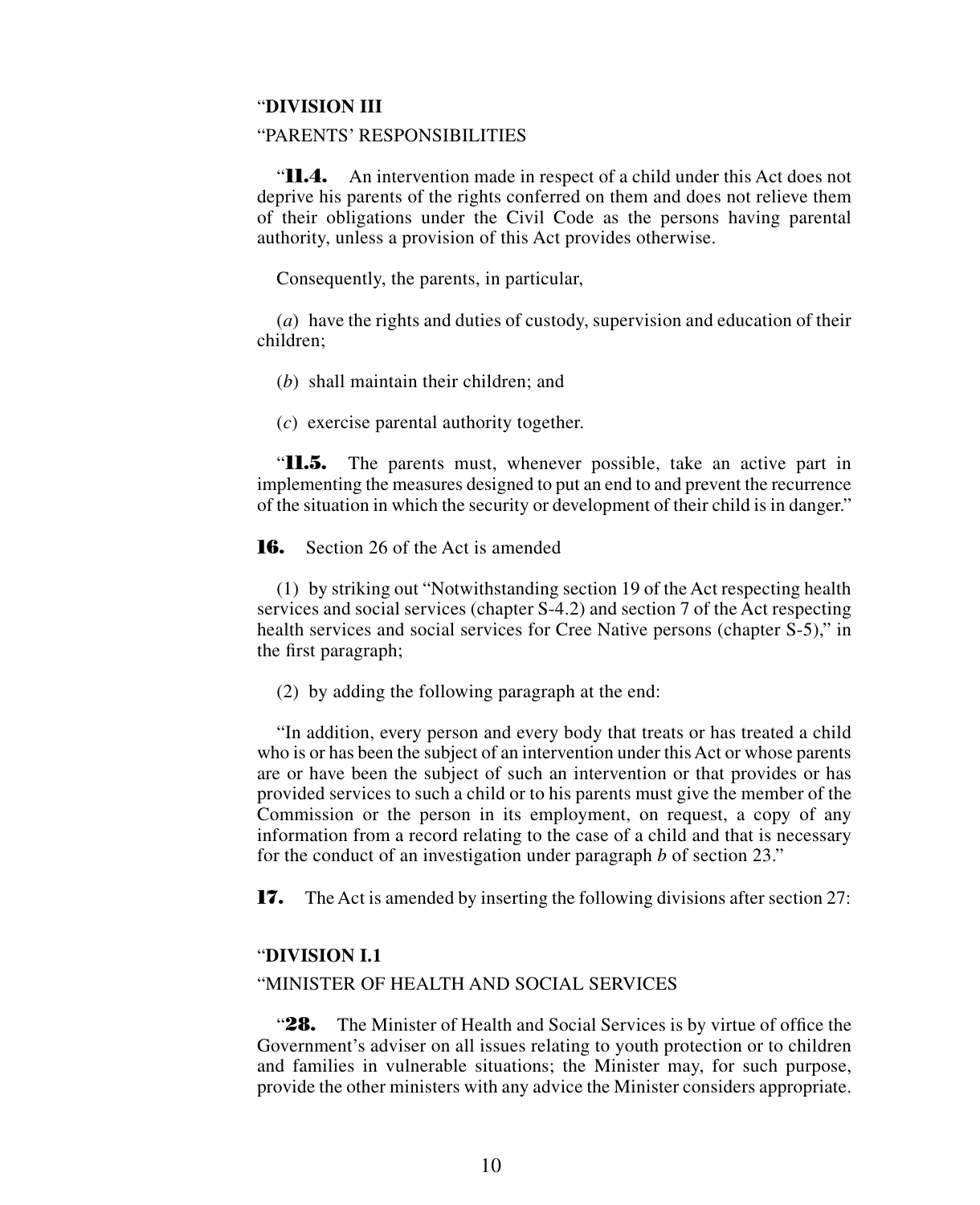#### "**DIVISION III**

## "PARENTS' RESPONSIBILITIES

"**11.4.** An intervention made in respect of a child under this Act does not deprive his parents of the rights conferred on them and does not relieve them of their obligations under the Civil Code as the persons having parental authority, unless a provision of this Act provides otherwise.

Consequently, the parents, in particular,

(*a*) have the rights and duties of custody, supervision and education of their children;

(*b*) shall maintain their children; and

(*c*) exercise parental authority together.

"**11.5.** The parents must, whenever possible, take an active part in implementing the measures designed to put an end to and prevent the recurrence of the situation in which the security or development of their child is in danger."

**16.** Section 26 of the Act is amended

(1) by striking out "Notwithstanding section 19 of the Act respecting health services and social services (chapter S-4.2) and section 7 of the Act respecting health services and social services for Cree Native persons (chapter S-5)," in the first paragraph;

(2) by adding the following paragraph at the end:

"In addition, every person and every body that treats or has treated a child who is or has been the subject of an intervention under this Act or whose parents are or have been the subject of such an intervention or that provides or has provided services to such a child or to his parents must give the member of the Commission or the person in its employment, on request, a copy of any information from a record relating to the case of a child and that is necessary for the conduct of an investigation under paragraph *b* of section 23."

**17.** The Act is amended by inserting the following divisions after section 27:

## "**DIVISION I.1**

## "MINISTER OF HEALTH AND SOCIAL SERVICES

"**28.** The Minister of Health and Social Services is by virtue of office the Government's adviser on all issues relating to youth protection or to children and families in vulnerable situations; the Minister may, for such purpose, provide the other ministers with any advice the Minister considers appropriate.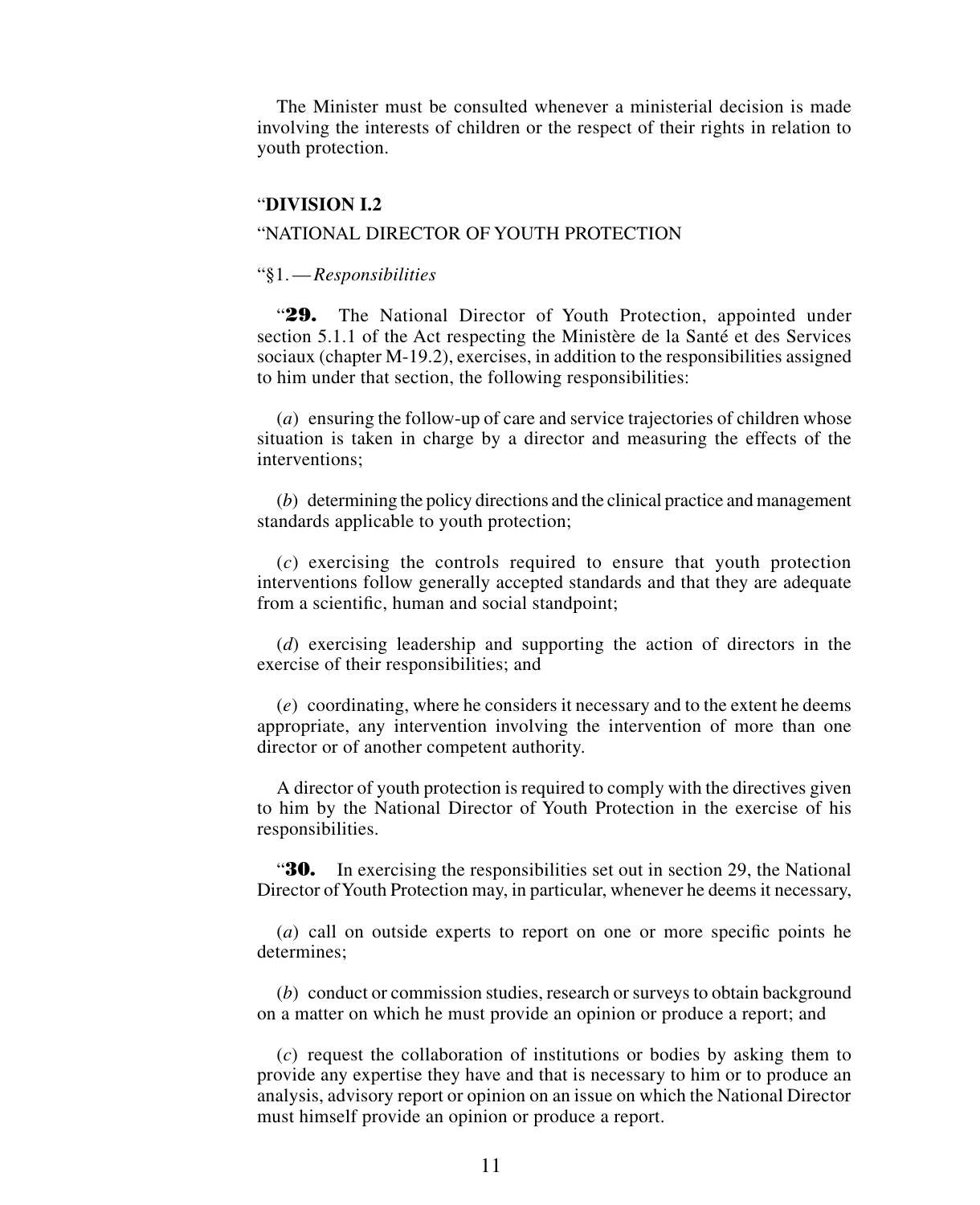The Minister must be consulted whenever a ministerial decision is made involving the interests of children or the respect of their rights in relation to youth protection.

#### "**DIVISION I.2**

## "NATIONAL DIRECTOR OF YOUTH PROTECTION

#### "§1.—*Responsibilities*

"**29.** The National Director of Youth Protection, appointed under section 5.1.1 of the Act respecting the Ministère de la Santé et des Services sociaux (chapter M-19.2), exercises, in addition to the responsibilities assigned to him under that section, the following responsibilities:

(*a*) ensuring the follow-up of care and service trajectories of children whose situation is taken in charge by a director and measuring the effects of the interventions;

(*b*) determining the policy directions and the clinical practice and management standards applicable to youth protection;

(*c*) exercising the controls required to ensure that youth protection interventions follow generally accepted standards and that they are adequate from a scientific, human and social standpoint;

(*d*) exercising leadership and supporting the action of directors in the exercise of their responsibilities; and

(*e*) coordinating, where he considers it necessary and to the extent he deems appropriate, any intervention involving the intervention of more than one director or of another competent authority.

A director of youth protection is required to comply with the directives given to him by the National Director of Youth Protection in the exercise of his responsibilities.

"**30.** In exercising the responsibilities set out in section 29, the National Director of Youth Protection may, in particular, whenever he deems it necessary,

(*a*) call on outside experts to report on one or more specific points he determines;

(*b*) conduct or commission studies, research or surveys to obtain background on a matter on which he must provide an opinion or produce a report; and

(*c*) request the collaboration of institutions or bodies by asking them to provide any expertise they have and that is necessary to him or to produce an analysis, advisory report or opinion on an issue on which the National Director must himself provide an opinion or produce a report.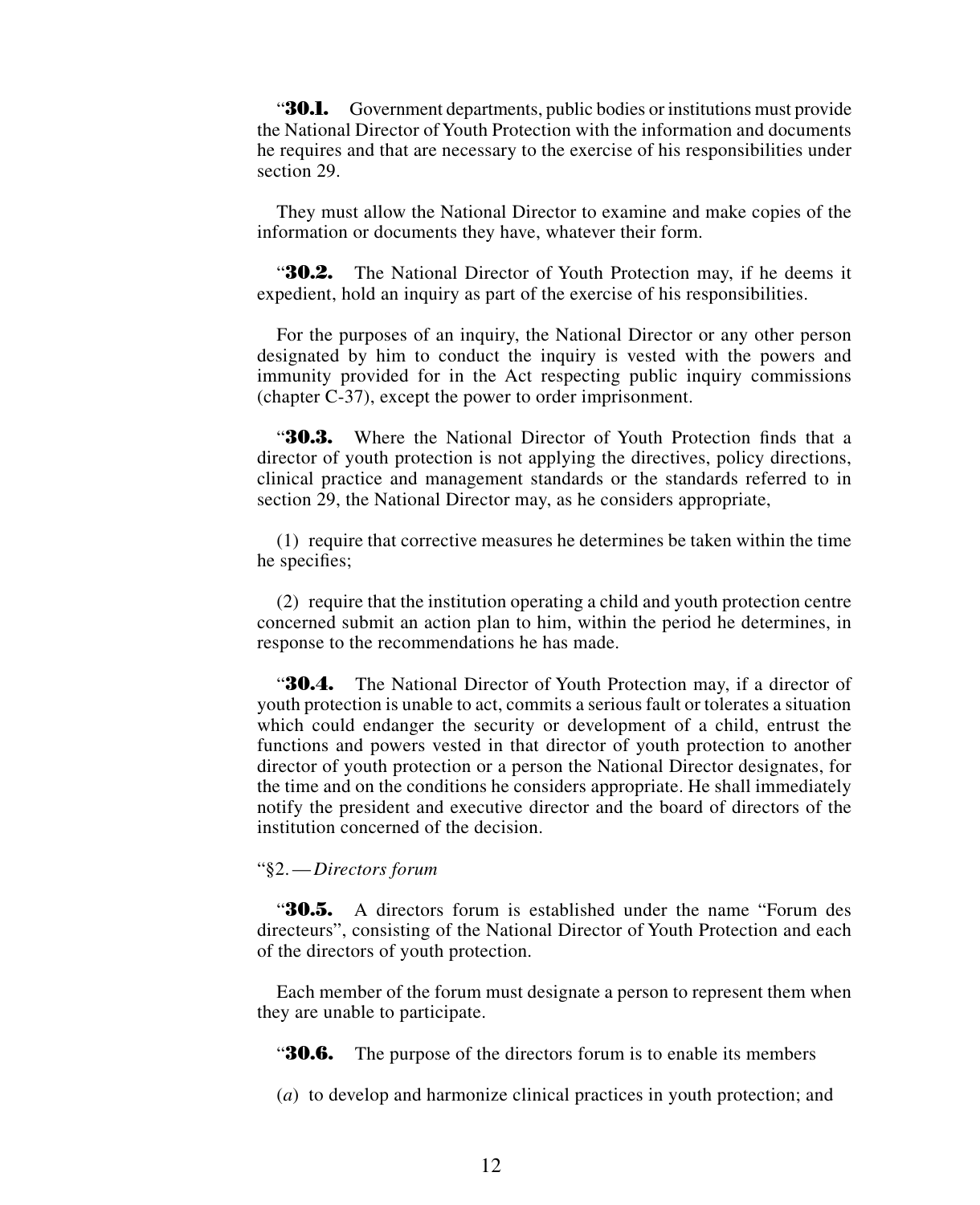"**30.1.** Government departments, public bodies or institutions must provide the National Director of Youth Protection with the information and documents he requires and that are necessary to the exercise of his responsibilities under section 29.

They must allow the National Director to examine and make copies of the information or documents they have, whatever their form.

"**30.2.** The National Director of Youth Protection may, if he deems it expedient, hold an inquiry as part of the exercise of his responsibilities.

For the purposes of an inquiry, the National Director or any other person designated by him to conduct the inquiry is vested with the powers and immunity provided for in the Act respecting public inquiry commissions (chapter C-37), except the power to order imprisonment.

"**30.3.** Where the National Director of Youth Protection finds that a director of youth protection is not applying the directives, policy directions, clinical practice and management standards or the standards referred to in section 29, the National Director may, as he considers appropriate,

(1) require that corrective measures he determines be taken within the time he specifies;

(2) require that the institution operating a child and youth protection centre concerned submit an action plan to him, within the period he determines, in response to the recommendations he has made.

"**30.4.** The National Director of Youth Protection may, if a director of youth protection is unable to act, commits a serious fault or tolerates a situation which could endanger the security or development of a child, entrust the functions and powers vested in that director of youth protection to another director of youth protection or a person the National Director designates, for the time and on the conditions he considers appropriate. He shall immediately notify the president and executive director and the board of directors of the institution concerned of the decision.

#### "§2.—*Directors forum*

"**30.5.** A directors forum is established under the name "Forum des directeurs", consisting of the National Director of Youth Protection and each of the directors of youth protection.

Each member of the forum must designate a person to represent them when they are unable to participate.

**30.6.** The purpose of the directors forum is to enable its members

(*a*) to develop and harmonize clinical practices in youth protection; and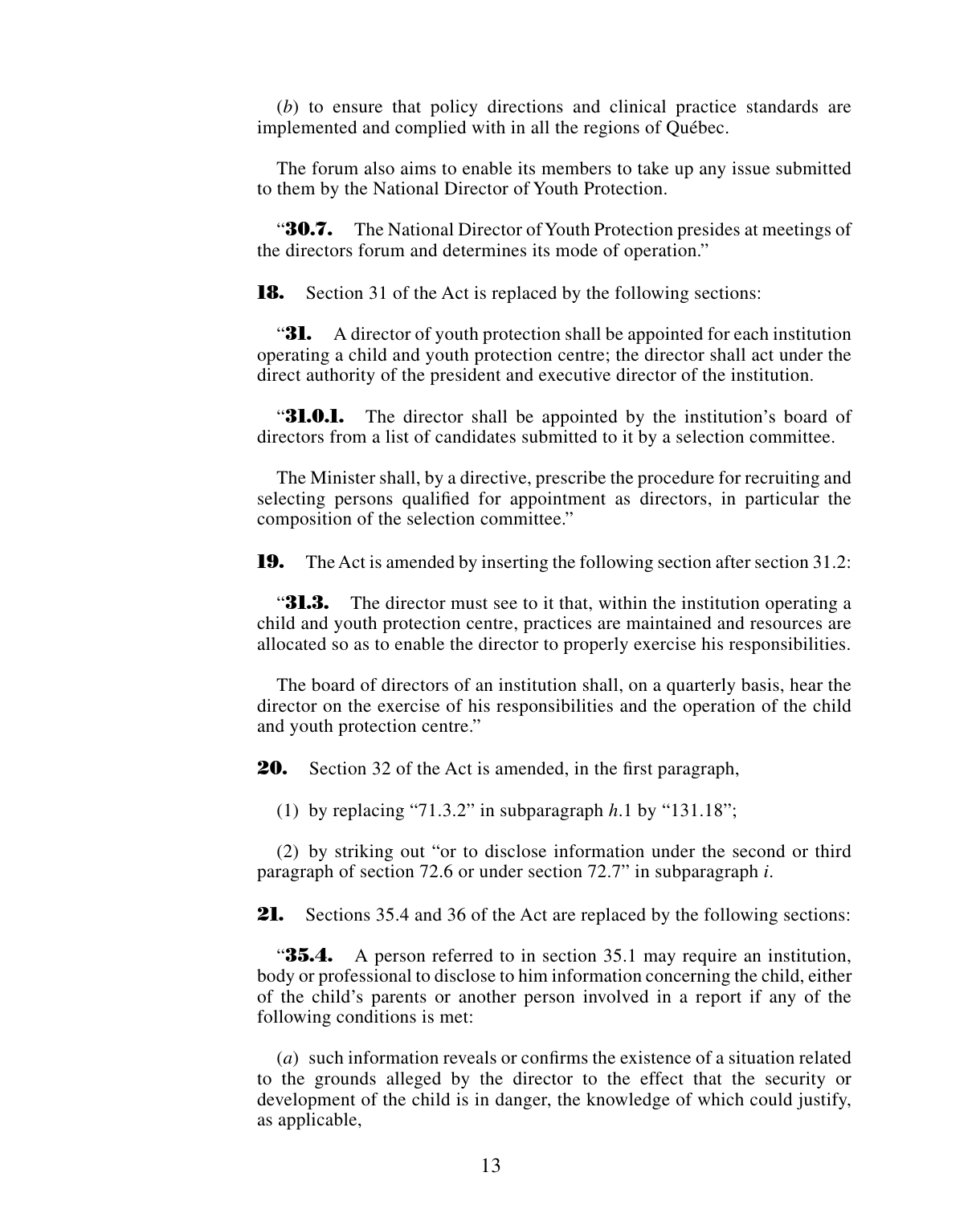(*b*) to ensure that policy directions and clinical practice standards are implemented and complied with in all the regions of Québec.

The forum also aims to enable its members to take up any issue submitted to them by the National Director of Youth Protection.

"**30.7.** The National Director of Youth Protection presides at meetings of the directors forum and determines its mode of operation."

**18.** Section 31 of the Act is replaced by the following sections:

**31.** A director of youth protection shall be appointed for each institution operating a child and youth protection centre; the director shall act under the direct authority of the president and executive director of the institution.

**31.0.1.** The director shall be appointed by the institution's board of directors from a list of candidates submitted to it by a selection committee.

The Minister shall, by a directive, prescribe the procedure for recruiting and selecting persons qualified for appointment as directors, in particular the composition of the selection committee."

**19.** The Act is amended by inserting the following section after section 31.2:

**31.3.** The director must see to it that, within the institution operating a child and youth protection centre, practices are maintained and resources are allocated so as to enable the director to properly exercise his responsibilities.

The board of directors of an institution shall, on a quarterly basis, hear the director on the exercise of his responsibilities and the operation of the child and youth protection centre."

**20.** Section 32 of the Act is amended, in the first paragraph,

(1) by replacing "71.3.2" in subparagraph *h*.1 by "131.18";

(2) by striking out "or to disclose information under the second or third paragraph of section 72.6 or under section 72.7" in subparagraph *i*.

**21.** Sections 35.4 and 36 of the Act are replaced by the following sections:

**35.4.** A person referred to in section 35.1 may require an institution, body or professional to disclose to him information concerning the child, either of the child's parents or another person involved in a report if any of the following conditions is met:

(*a*) such information reveals or confirms the existence of a situation related to the grounds alleged by the director to the effect that the security or development of the child is in danger, the knowledge of which could justify, as applicable,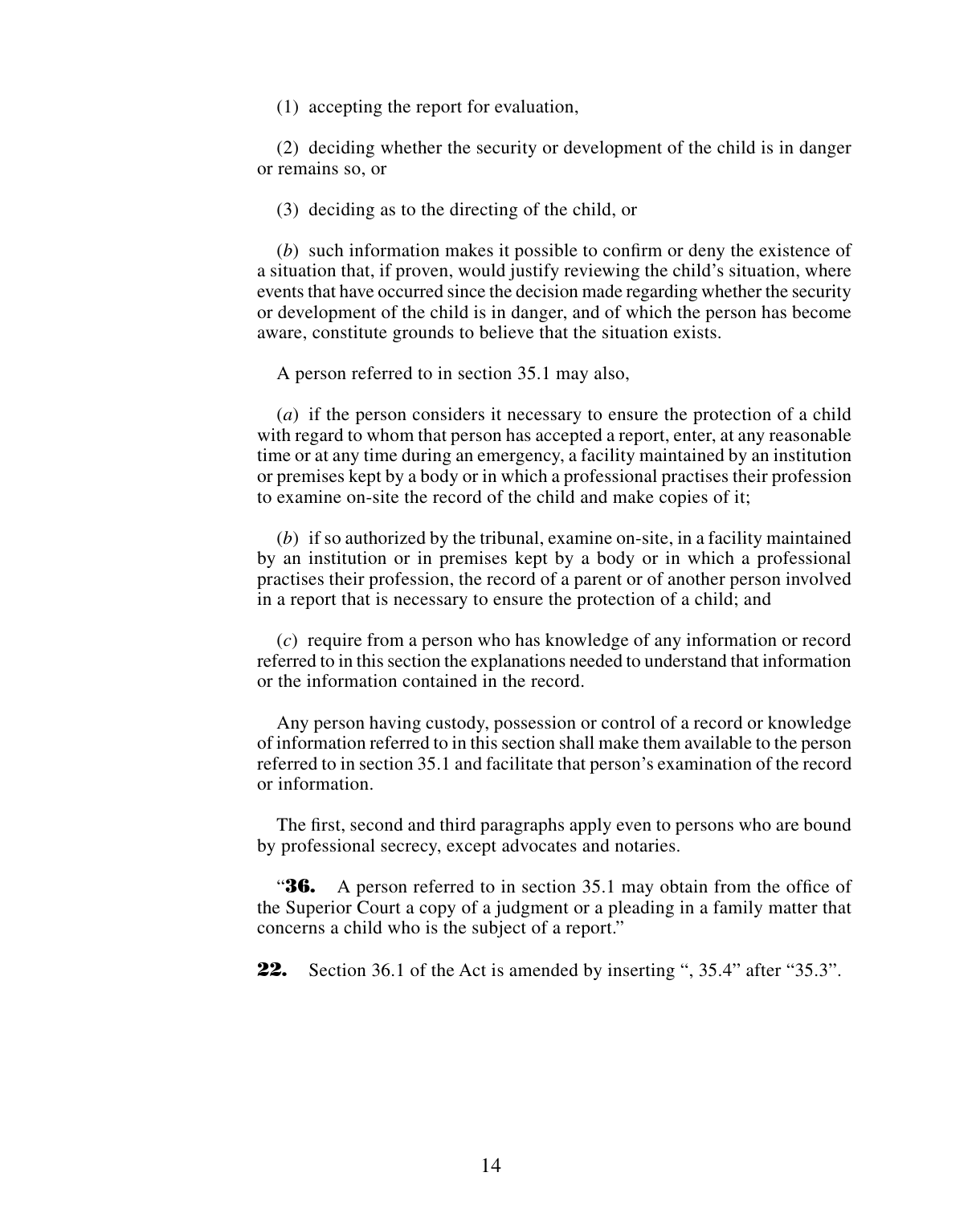(1) accepting the report for evaluation,

(2) deciding whether the security or development of the child is in danger or remains so, or

(3) deciding as to the directing of the child, or

(*b*) such information makes it possible to confirm or deny the existence of a situation that, if proven, would justify reviewing the child's situation, where events that have occurred since the decision made regarding whether the security or development of the child is in danger, and of which the person has become aware, constitute grounds to believe that the situation exists.

A person referred to in section 35.1 may also,

(*a*) if the person considers it necessary to ensure the protection of a child with regard to whom that person has accepted a report, enter, at any reasonable time or at any time during an emergency, a facility maintained by an institution or premises kept by a body or in which a professional practises their profession to examine on-site the record of the child and make copies of it;

(*b*) if so authorized by the tribunal, examine on-site, in a facility maintained by an institution or in premises kept by a body or in which a professional practises their profession, the record of a parent or of another person involved in a report that is necessary to ensure the protection of a child; and

(*c*) require from a person who has knowledge of any information or record referred to in this section the explanations needed to understand that information or the information contained in the record.

Any person having custody, possession or control of a record or knowledge of information referred to in this section shall make them available to the person referred to in section 35.1 and facilitate that person's examination of the record or information.

The first, second and third paragraphs apply even to persons who are bound by professional secrecy, except advocates and notaries.

**36.** A person referred to in section 35.1 may obtain from the office of the Superior Court a copy of a judgment or a pleading in a family matter that concerns a child who is the subject of a report."

**22.** Section 36.1 of the Act is amended by inserting ", 35.4" after "35.3".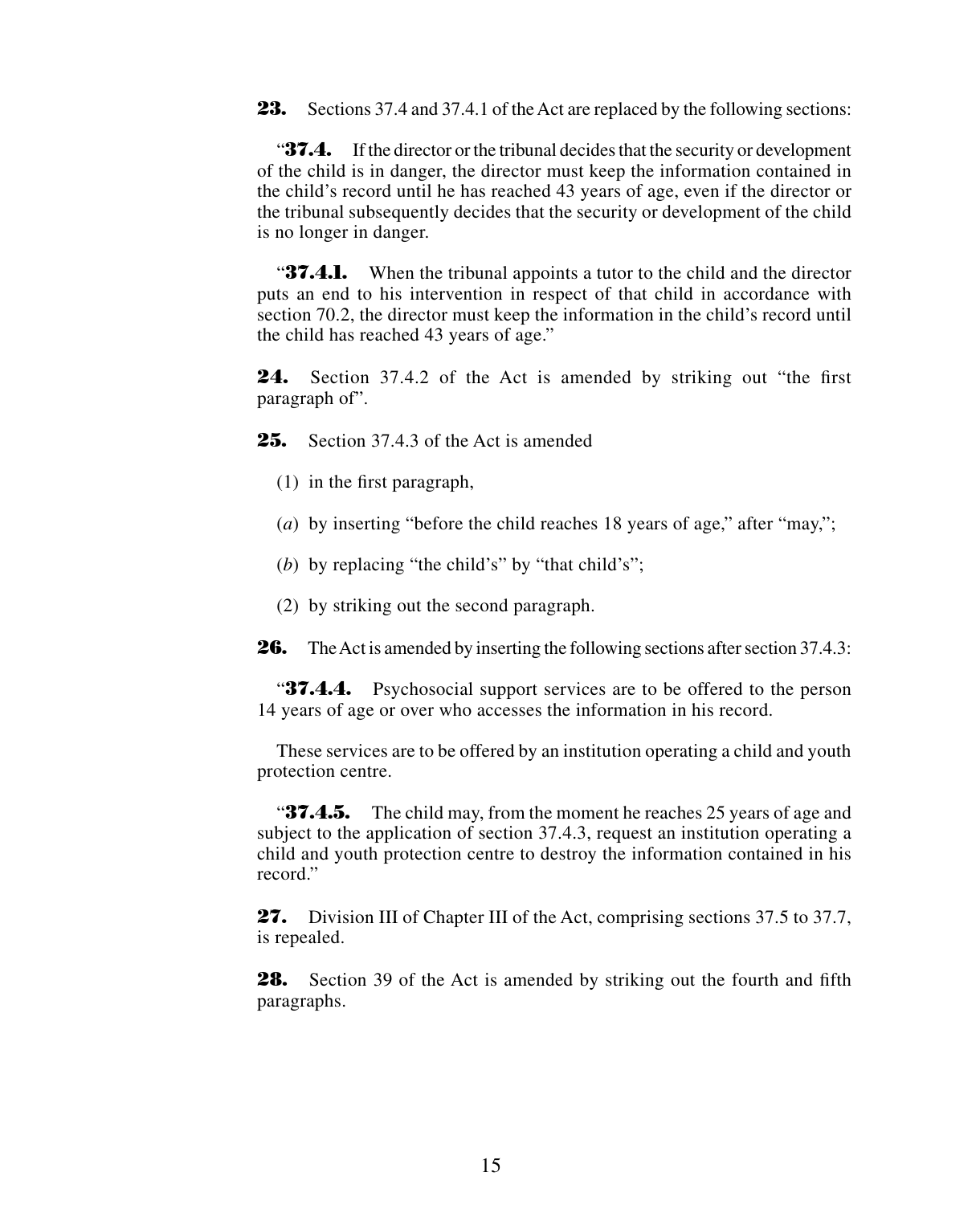**23.** Sections 37.4 and 37.4.1 of the Act are replaced by the following sections:

"**37.4.** If the director or the tribunal decides that the security or development of the child is in danger, the director must keep the information contained in the child's record until he has reached 43 years of age, even if the director or the tribunal subsequently decides that the security or development of the child is no longer in danger.

**37.4.1.** When the tribunal appoints a tutor to the child and the director puts an end to his intervention in respect of that child in accordance with section 70.2, the director must keep the information in the child's record until the child has reached 43 years of age."

**24.** Section 37.4.2 of the Act is amended by striking out "the first" paragraph of".

**25.** Section 37.4.3 of the Act is amended

- (1) in the first paragraph,
- (*a*) by inserting "before the child reaches 18 years of age," after "may,";
- (*b*) by replacing "the child's" by "that child's";
- (2) by striking out the second paragraph.

**26.** The Act is amended by inserting the following sections after section 37.4.3:

"**37.4.4.** Psychosocial support services are to be offered to the person 14 years of age or over who accesses the information in his record.

These services are to be offered by an institution operating a child and youth protection centre.

"**37.4.5.** The child may, from the moment he reaches 25 years of age and subject to the application of section 37.4.3, request an institution operating a child and youth protection centre to destroy the information contained in his record."

**27.** Division III of Chapter III of the Act, comprising sections 37.5 to 37.7, is repealed.

**28.** Section 39 of the Act is amended by striking out the fourth and fifth paragraphs.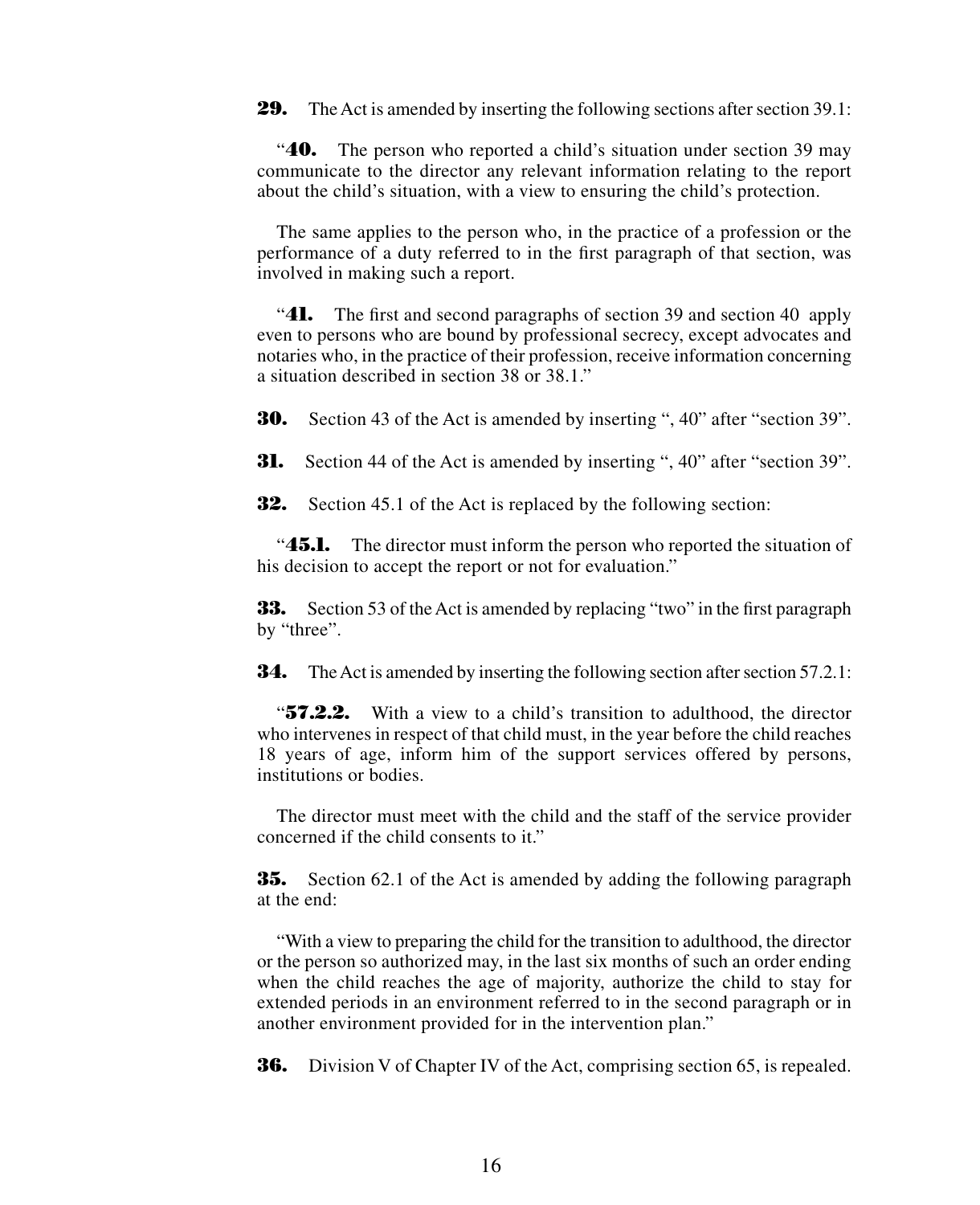**29.** The Act is amended by inserting the following sections after section 39.1:

"**40.** The person who reported a child's situation under section 39 may communicate to the director any relevant information relating to the report about the child's situation, with a view to ensuring the child's protection.

The same applies to the person who, in the practice of a profession or the performance of a duty referred to in the first paragraph of that section, was involved in making such a report.

"**41.** The first and second paragraphs of section 39 and section 40 apply even to persons who are bound by professional secrecy, except advocates and notaries who, in the practice of their profession, receive information concerning a situation described in section 38 or 38.1."

**30.** Section 43 of the Act is amended by inserting ", 40" after "section 39".

**31.** Section 44 of the Act is amended by inserting ", 40" after "section 39".

**32.** Section 45.1 of the Act is replaced by the following section:

**45.1.** The director must inform the person who reported the situation of his decision to accept the report or not for evaluation."

**33.** Section 53 of the Act is amended by replacing "two" in the first paragraph by "three".

**34.** The Act is amended by inserting the following section after section 57.2.1:

"**57.2.2.** With a view to a child's transition to adulthood, the director who intervenes in respect of that child must, in the year before the child reaches 18 years of age, inform him of the support services offered by persons, institutions or bodies.

The director must meet with the child and the staff of the service provider concerned if the child consents to it."

**35.** Section 62.1 of the Act is amended by adding the following paragraph at the end:

"With a view to preparing the child for the transition to adulthood, the director or the person so authorized may, in the last six months of such an order ending when the child reaches the age of majority, authorize the child to stay for extended periods in an environment referred to in the second paragraph or in another environment provided for in the intervention plan."

**36.** Division V of Chapter IV of the Act, comprising section 65, is repealed.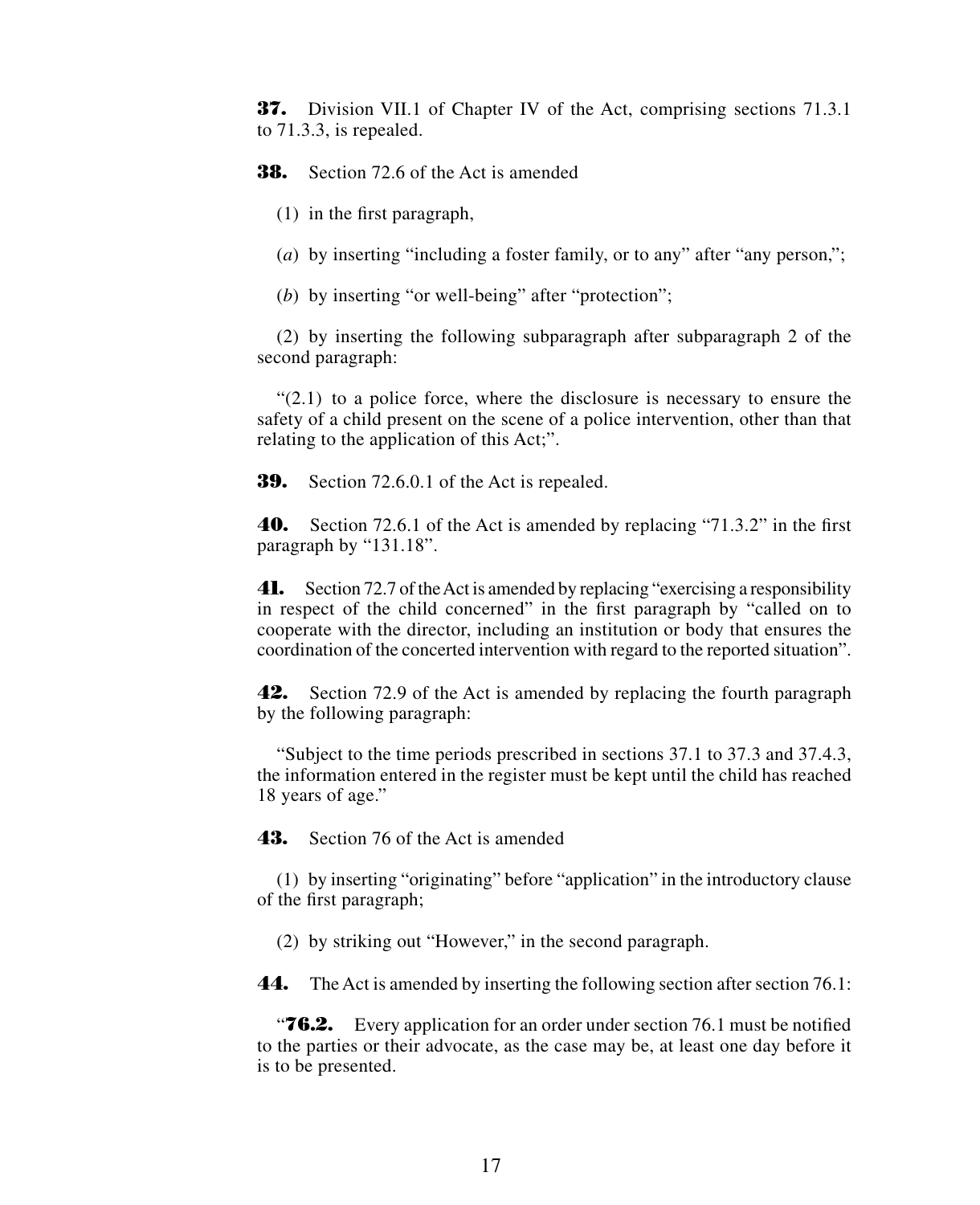**37.** Division VII.1 of Chapter IV of the Act, comprising sections 71.3.1 to 71.3.3, is repealed.

**38.** Section 72.6 of the Act is amended

(1) in the first paragraph,

(*a*) by inserting "including a foster family, or to any" after "any person,";

(*b*) by inserting "or well-being" after "protection";

(2) by inserting the following subparagraph after subparagraph 2 of the second paragraph:

 $(2.1)$  to a police force, where the disclosure is necessary to ensure the safety of a child present on the scene of a police intervention, other than that relating to the application of this Act;".

**39.** Section 72.6.0.1 of the Act is repealed.

**40.** Section 72.6.1 of the Act is amended by replacing "71.3.2" in the first paragraph by "131.18".

**41.** Section 72.7 of the Act is amended by replacing "exercising a responsibility in respect of the child concerned" in the first paragraph by "called on to cooperate with the director, including an institution or body that ensures the coordination of the concerted intervention with regard to the reported situation".

**42.** Section 72.9 of the Act is amended by replacing the fourth paragraph by the following paragraph:

"Subject to the time periods prescribed in sections 37.1 to 37.3 and 37.4.3, the information entered in the register must be kept until the child has reached 18 years of age."

**43.** Section 76 of the Act is amended

(1) by inserting "originating" before "application" in the introductory clause of the first paragraph;

(2) by striking out "However," in the second paragraph.

**44.** The Act is amended by inserting the following section after section 76.1:

*476.2.* Every application for an order under section 76.1 must be notified to the parties or their advocate, as the case may be, at least one day before it is to be presented.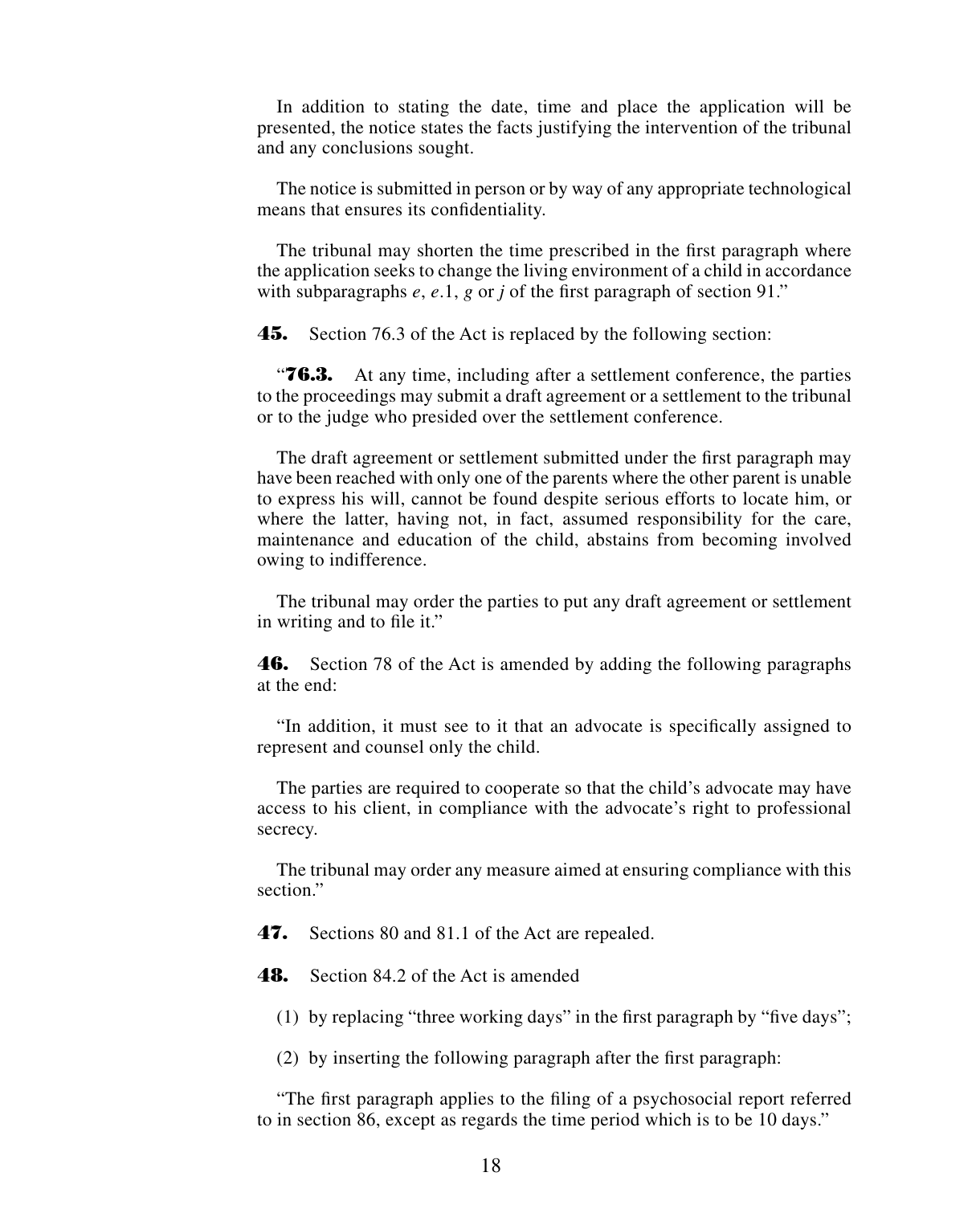In addition to stating the date, time and place the application will be presented, the notice states the facts justifying the intervention of the tribunal and any conclusions sought.

The notice is submitted in person or by way of any appropriate technological means that ensures its confidentiality.

The tribunal may shorten the time prescribed in the first paragraph where the application seeks to change the living environment of a child in accordance with subparagraphs *e*, *e*.1, *g* or *j* of the first paragraph of section 91."

**45.** Section 76.3 of the Act is replaced by the following section:

**76.3.** At any time, including after a settlement conference, the parties to the proceedings may submit a draft agreement or a settlement to the tribunal or to the judge who presided over the settlement conference.

The draft agreement or settlement submitted under the first paragraph may have been reached with only one of the parents where the other parent is unable to express his will, cannot be found despite serious efforts to locate him, or where the latter, having not, in fact, assumed responsibility for the care, maintenance and education of the child, abstains from becoming involved owing to indifference.

The tribunal may order the parties to put any draft agreement or settlement in writing and to file it."

**46.** Section 78 of the Act is amended by adding the following paragraphs at the end:

"In addition, it must see to it that an advocate is specifically assigned to represent and counsel only the child.

The parties are required to cooperate so that the child's advocate may have access to his client, in compliance with the advocate's right to professional secrecy.

The tribunal may order any measure aimed at ensuring compliance with this section."

**47.** Sections 80 and 81.1 of the Act are repealed.

**48.** Section 84.2 of the Act is amended

(1) by replacing "three working days" in the first paragraph by "five days";

(2) by inserting the following paragraph after the first paragraph:

"The first paragraph applies to the filing of a psychosocial report referred to in section 86, except as regards the time period which is to be 10 days."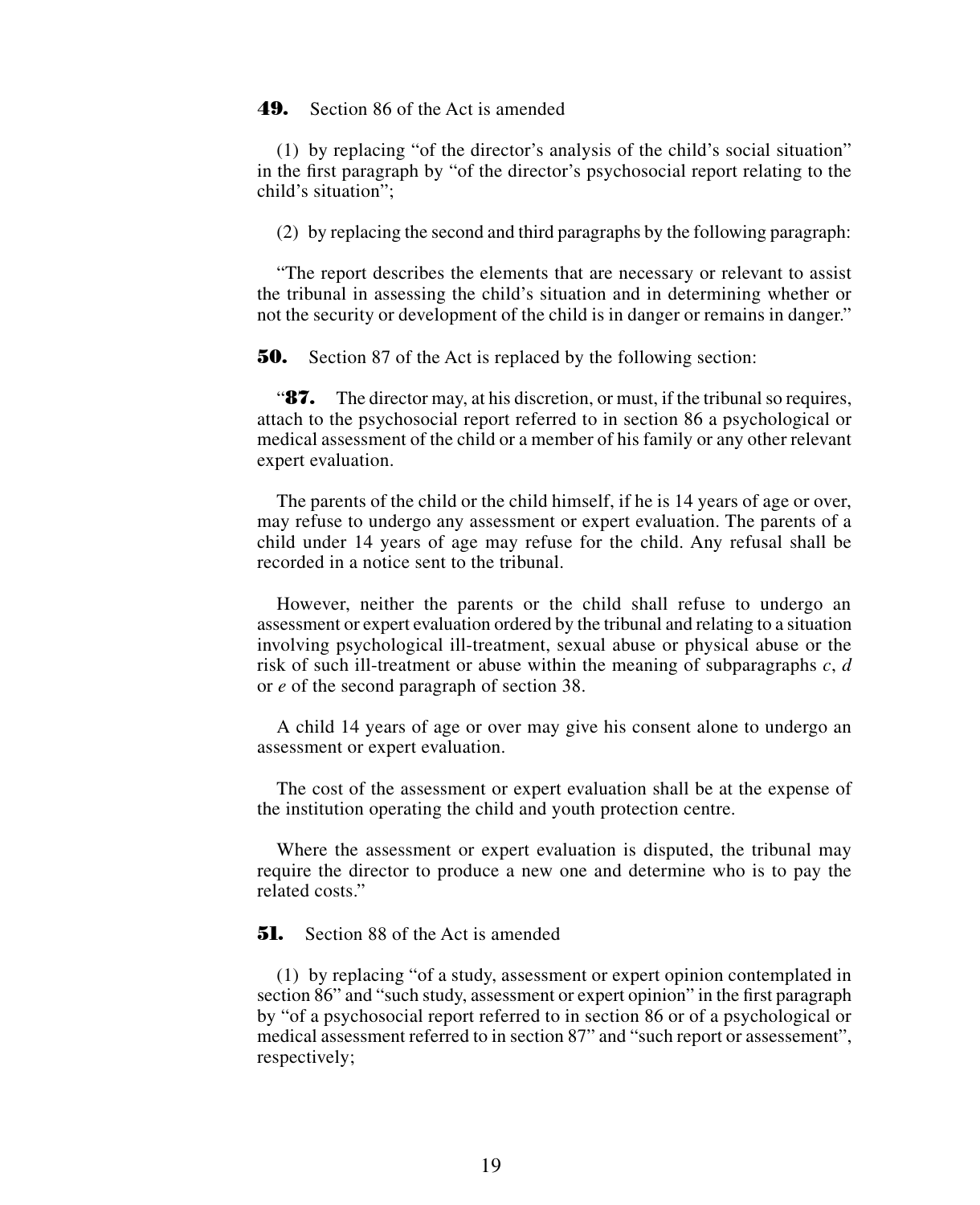## **49.** Section 86 of the Act is amended

(1) by replacing "of the director's analysis of the child's social situation" in the first paragraph by "of the director's psychosocial report relating to the child's situation";

(2) by replacing the second and third paragraphs by the following paragraph:

"The report describes the elements that are necessary or relevant to assist the tribunal in assessing the child's situation and in determining whether or not the security or development of the child is in danger or remains in danger."

**50.** Section 87 of the Act is replaced by the following section:

"**87.** The director may, at his discretion, or must, if the tribunal so requires, attach to the psychosocial report referred to in section 86 a psychological or medical assessment of the child or a member of his family or any other relevant expert evaluation.

The parents of the child or the child himself, if he is 14 years of age or over, may refuse to undergo any assessment or expert evaluation. The parents of a child under 14 years of age may refuse for the child. Any refusal shall be recorded in a notice sent to the tribunal.

However, neither the parents or the child shall refuse to undergo an assessment or expert evaluation ordered by the tribunal and relating to a situation involving psychological ill-treatment, sexual abuse or physical abuse or the risk of such ill-treatment or abuse within the meaning of subparagraphs  $c, d$ or *e* of the second paragraph of section 38.

A child 14 years of age or over may give his consent alone to undergo an assessment or expert evaluation.

The cost of the assessment or expert evaluation shall be at the expense of the institution operating the child and youth protection centre.

Where the assessment or expert evaluation is disputed, the tribunal may require the director to produce a new one and determine who is to pay the related costs."

**51.** Section 88 of the Act is amended

(1) by replacing "of a study, assessment or expert opinion contemplated in section 86" and "such study, assessment or expert opinion" in the first paragraph by "of a psychosocial report referred to in section 86 or of a psychological or medical assessment referred to in section 87" and "such report or assessement", respectively;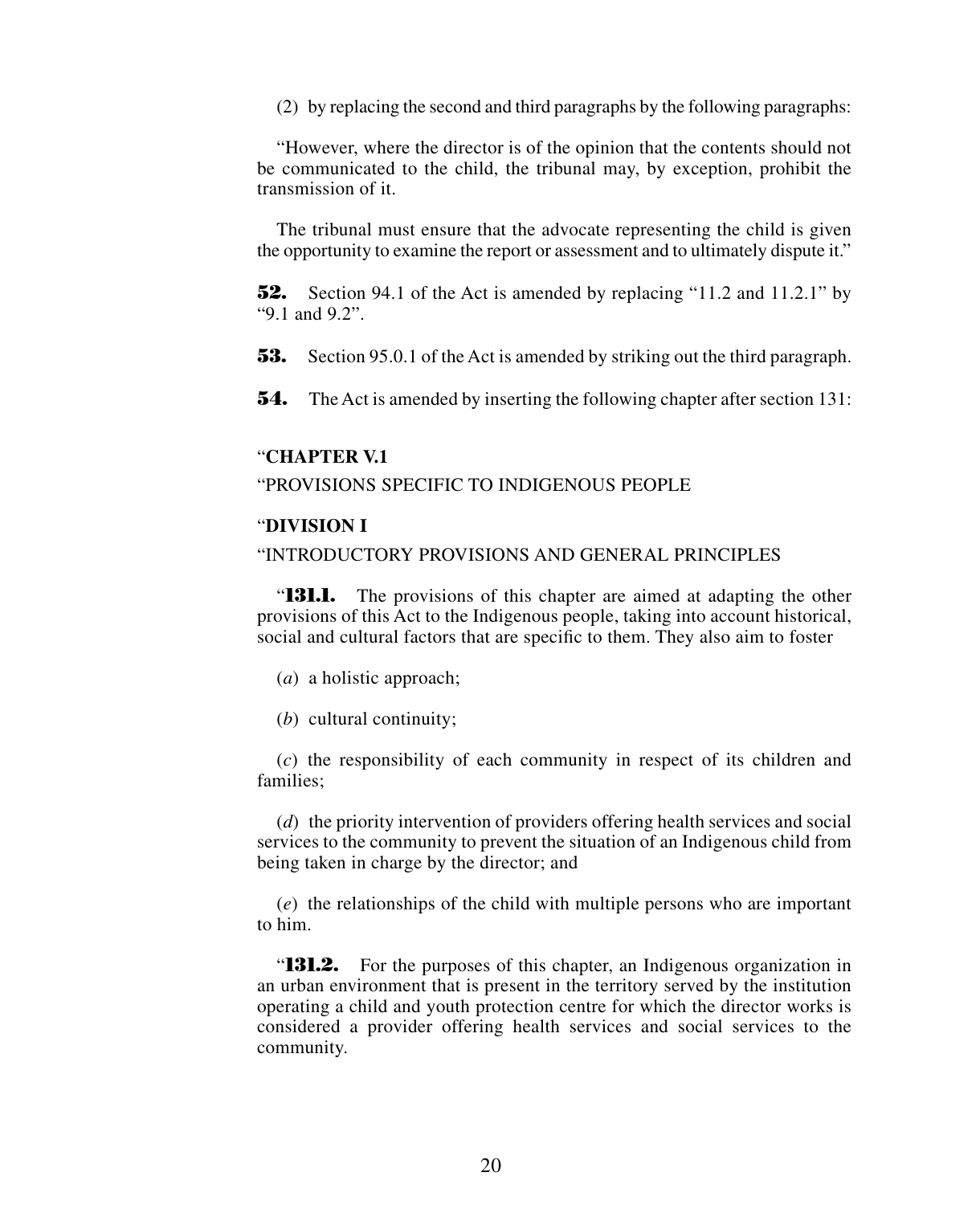(2) by replacing the second and third paragraphs by the following paragraphs:

"However, where the director is of the opinion that the contents should not be communicated to the child, the tribunal may, by exception, prohibit the transmission of it.

The tribunal must ensure that the advocate representing the child is given the opportunity to examine the report or assessment and to ultimately dispute it."

**52.** Section 94.1 of the Act is amended by replacing "11.2 and 11.2.1" by "9.1 and 9.2".

**53.** Section 95.0.1 of the Act is amended by striking out the third paragraph.

**54.** The Act is amended by inserting the following chapter after section 131:

## "**CHAPTER V.1**

#### "PROVISIONS SPECIFIC TO INDIGENOUS PEOPLE

## "**DIVISION I**

## "INTRODUCTORY PROVISIONS AND GENERAL PRINCIPLES

"**131.1.** The provisions of this chapter are aimed at adapting the other provisions of this Act to the Indigenous people, taking into account historical, social and cultural factors that are specific to them. They also aim to foster

- (*a*) a holistic approach;
- (*b*) cultural continuity;

(*c*) the responsibility of each community in respect of its children and families;

(*d*) the priority intervention of providers offering health services and social services to the community to prevent the situation of an Indigenous child from being taken in charge by the director; and

(*e*) the relationships of the child with multiple persons who are important to him.

"**131.2.** For the purposes of this chapter, an Indigenous organization in an urban environment that is present in the territory served by the institution operating a child and youth protection centre for which the director works is considered a provider offering health services and social services to the community.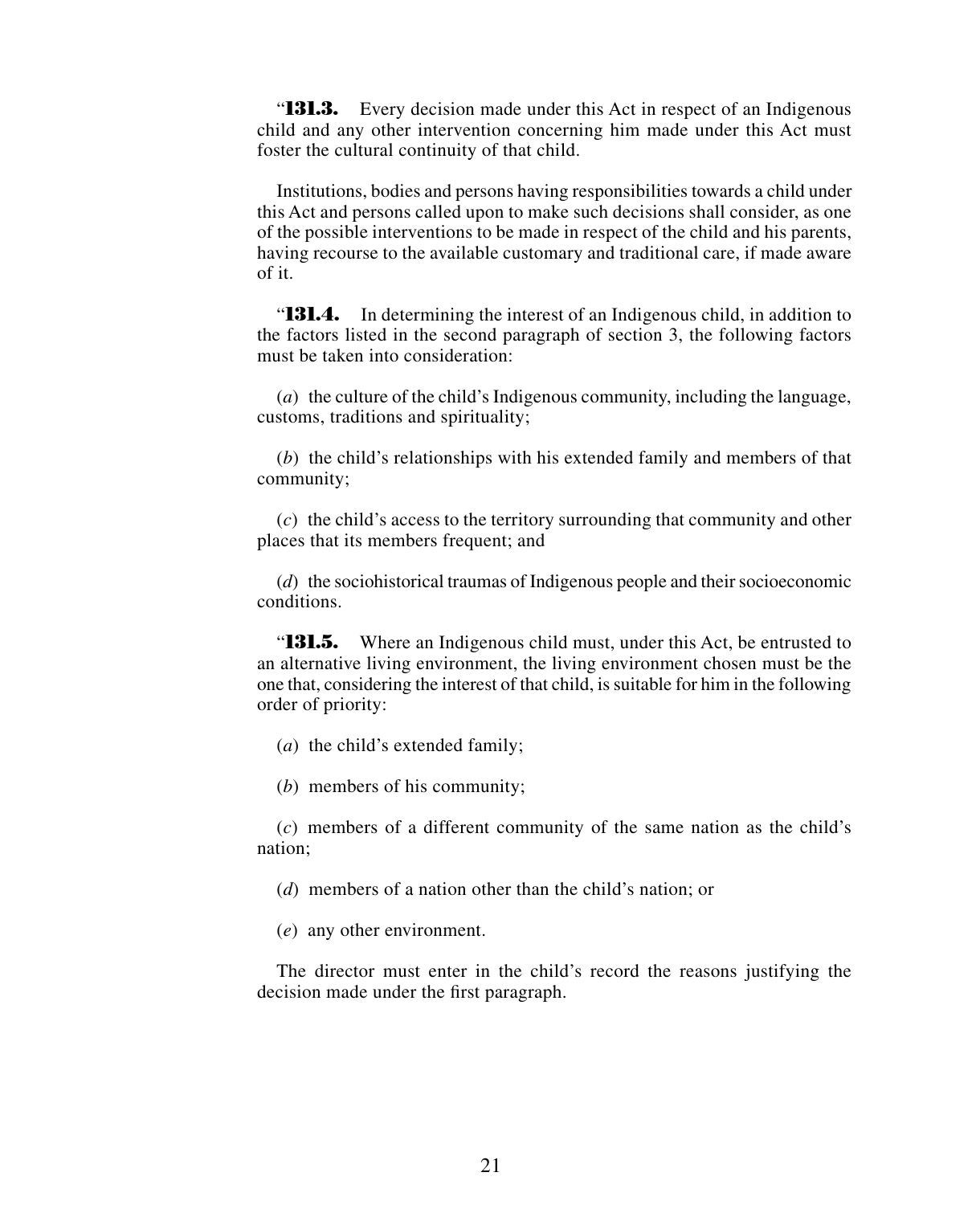"**131.3.** Every decision made under this Act in respect of an Indigenous child and any other intervention concerning him made under this Act must foster the cultural continuity of that child.

Institutions, bodies and persons having responsibilities towards a child under this Act and persons called upon to make such decisions shall consider, as one of the possible interventions to be made in respect of the child and his parents, having recourse to the available customary and traditional care, if made aware of it.

"**131.4.** In determining the interest of an Indigenous child, in addition to the factors listed in the second paragraph of section 3, the following factors must be taken into consideration:

(*a*) the culture of the child's Indigenous community, including the language, customs, traditions and spirituality;

(*b*) the child's relationships with his extended family and members of that community;

(*c*) the child's access to the territory surrounding that community and other places that its members frequent; and

(*d*) the sociohistorical traumas of Indigenous people and their socioeconomic conditions.

"**131.5.** Where an Indigenous child must, under this Act, be entrusted to an alternative living environment, the living environment chosen must be the one that, considering the interest of that child, is suitable for him in the following order of priority:

(*a*) the child's extended family;

(*b*) members of his community;

(*c*) members of a different community of the same nation as the child's nation;

(*d*) members of a nation other than the child's nation; or

(*e*) any other environment.

The director must enter in the child's record the reasons justifying the decision made under the first paragraph.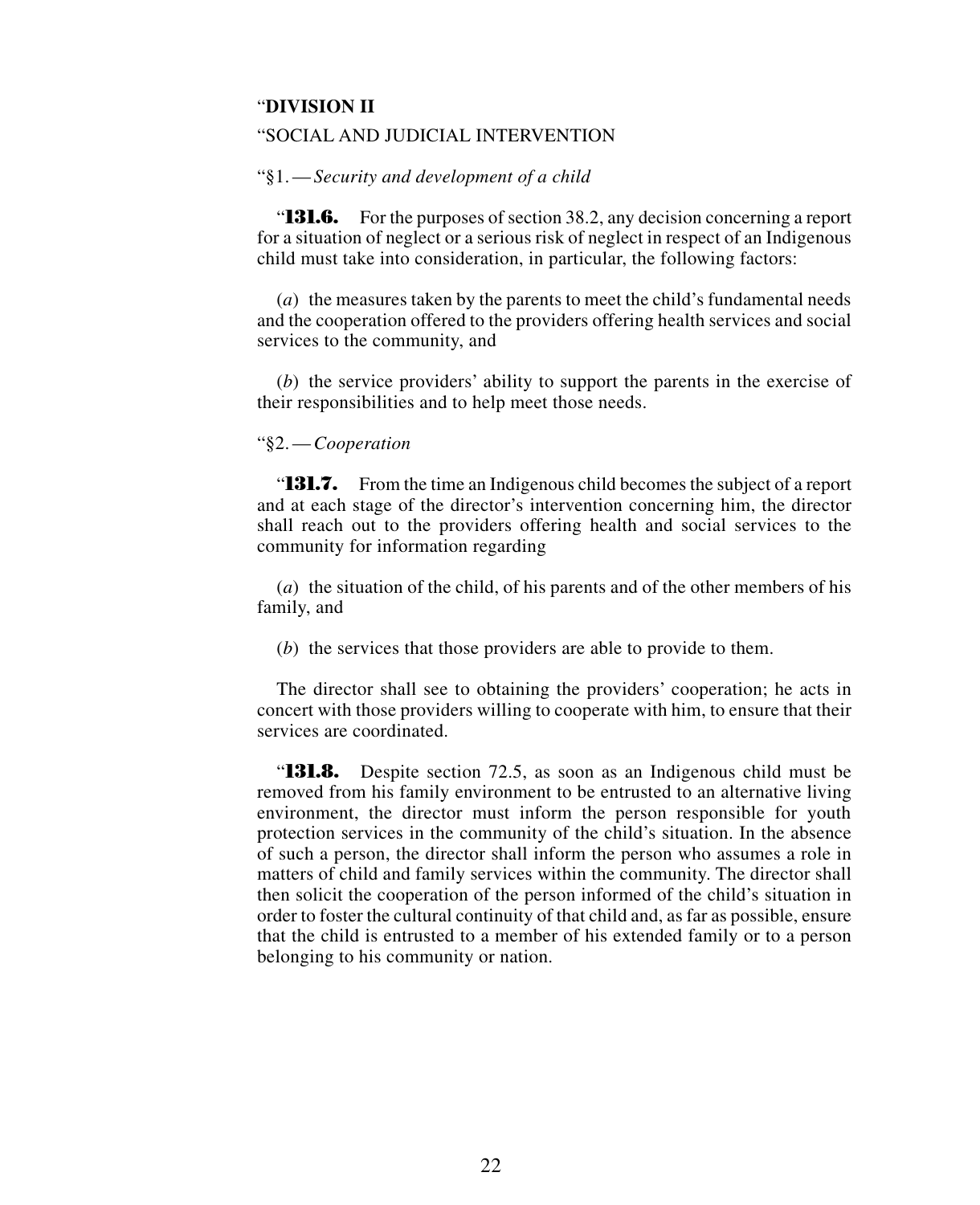#### "**DIVISION II**

#### "SOCIAL AND JUDICIAL INTERVENTION

#### "§1.—*Security and development of a child*

**131.6.** For the purposes of section 38.2, any decision concerning a report for a situation of neglect or a serious risk of neglect in respect of an Indigenous child must take into consideration, in particular, the following factors:

(*a*) the measures taken by the parents to meet the child's fundamental needs and the cooperation offered to the providers offering health services and social services to the community, and

(*b*) the service providers' ability to support the parents in the exercise of their responsibilities and to help meet those needs.

#### "§2.—*Cooperation*

"**131.7.** From the time an Indigenous child becomes the subject of a report and at each stage of the director's intervention concerning him, the director shall reach out to the providers offering health and social services to the community for information regarding

(*a*) the situation of the child, of his parents and of the other members of his family, and

(*b*) the services that those providers are able to provide to them.

The director shall see to obtaining the providers' cooperation; he acts in concert with those providers willing to cooperate with him, to ensure that their services are coordinated.

"**131.8.** Despite section 72.5, as soon as an Indigenous child must be removed from his family environment to be entrusted to an alternative living environment, the director must inform the person responsible for youth protection services in the community of the child's situation. In the absence of such a person, the director shall inform the person who assumes a role in matters of child and family services within the community. The director shall then solicit the cooperation of the person informed of the child's situation in order to foster the cultural continuity of that child and, as far as possible, ensure that the child is entrusted to a member of his extended family or to a person belonging to his community or nation.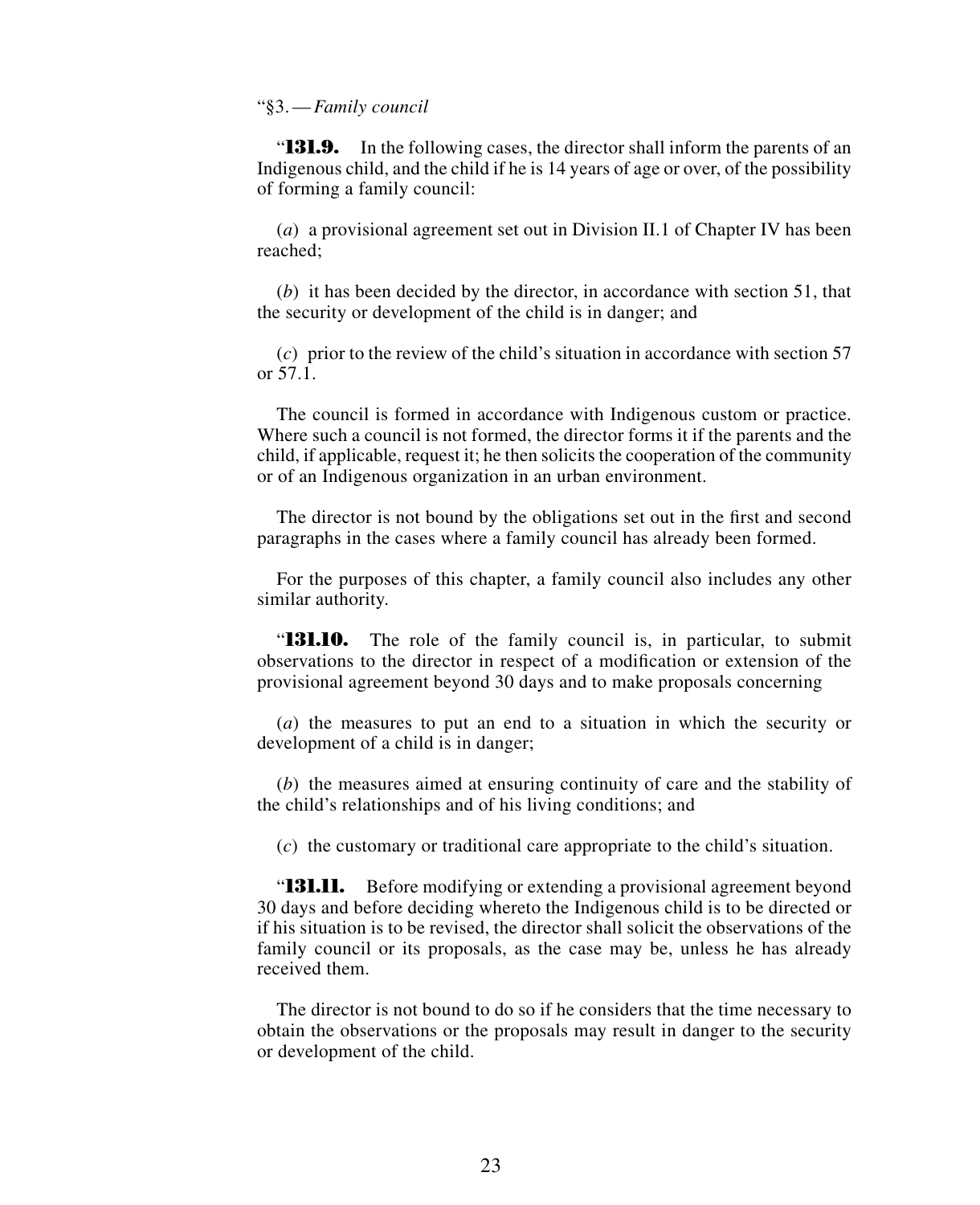#### "§3.—*Family council*

"**131.9.** In the following cases, the director shall inform the parents of an Indigenous child, and the child if he is 14 years of age or over, of the possibility of forming a family council:

(*a*) a provisional agreement set out in Division II.1 of Chapter IV has been reached;

(*b*) it has been decided by the director, in accordance with section 51, that the security or development of the child is in danger; and

(*c*) prior to the review of the child's situation in accordance with section 57 or 57.1.

The council is formed in accordance with Indigenous custom or practice. Where such a council is not formed, the director forms it if the parents and the child, if applicable, request it; he then solicits the cooperation of the community or of an Indigenous organization in an urban environment.

The director is not bound by the obligations set out in the first and second paragraphs in the cases where a family council has already been formed.

For the purposes of this chapter, a family council also includes any other similar authority.

"**131.10.** The role of the family council is, in particular, to submit observations to the director in respect of a modification or extension of the provisional agreement beyond 30 days and to make proposals concerning

(*a*) the measures to put an end to a situation in which the security or development of a child is in danger;

(*b*) the measures aimed at ensuring continuity of care and the stability of the child's relationships and of his living conditions; and

(*c*) the customary or traditional care appropriate to the child's situation.

"**131.11.** Before modifying or extending a provisional agreement beyond 30 days and before deciding whereto the Indigenous child is to be directed or if his situation is to be revised, the director shall solicit the observations of the family council or its proposals, as the case may be, unless he has already received them.

The director is not bound to do so if he considers that the time necessary to obtain the observations or the proposals may result in danger to the security or development of the child.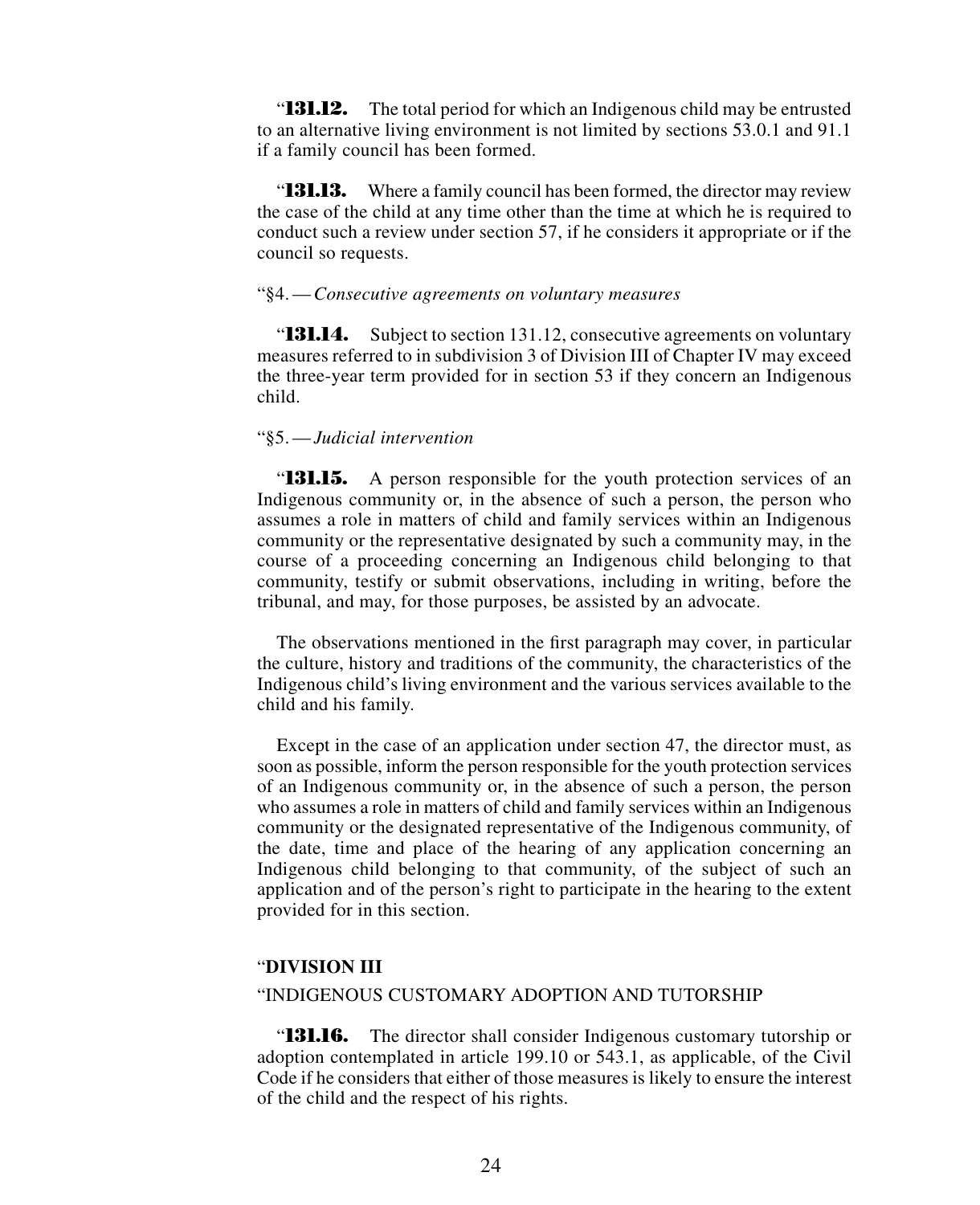"**131.12.** The total period for which an Indigenous child may be entrusted to an alternative living environment is not limited by sections 53.0.1 and 91.1 if a family council has been formed.

"**131.13.** Where a family council has been formed, the director may review the case of the child at any time other than the time at which he is required to conduct such a review under section 57, if he considers it appropriate or if the council so requests.

## "§4.—*Consecutive agreements on voluntary measures*

"**131.14.** Subject to section 131.12, consecutive agreements on voluntary measures referred to in subdivision 3 of Division III of Chapter IV may exceed the three-year term provided for in section 53 if they concern an Indigenous child.

#### "§5.—*Judicial intervention*

"**131.15.** A person responsible for the youth protection services of an Indigenous community or, in the absence of such a person, the person who assumes a role in matters of child and family services within an Indigenous community or the representative designated by such a community may, in the course of a proceeding concerning an Indigenous child belonging to that community, testify or submit observations, including in writing, before the tribunal, and may, for those purposes, be assisted by an advocate.

The observations mentioned in the first paragraph may cover, in particular the culture, history and traditions of the community, the characteristics of the Indigenous child's living environment and the various services available to the child and his family.

Except in the case of an application under section 47, the director must, as soon as possible, inform the person responsible for the youth protection services of an Indigenous community or, in the absence of such a person, the person who assumes a role in matters of child and family services within an Indigenous community or the designated representative of the Indigenous community, of the date, time and place of the hearing of any application concerning an Indigenous child belonging to that community, of the subject of such an application and of the person's right to participate in the hearing to the extent provided for in this section.

#### "**DIVISION III**

#### "INDIGENOUS CUSTOMARY ADOPTION AND TUTORSHIP

"**131.16.** The director shall consider Indigenous customary tutorship or adoption contemplated in article 199.10 or 543.1, as applicable, of the Civil Code if he considers that either of those measures is likely to ensure the interest of the child and the respect of his rights.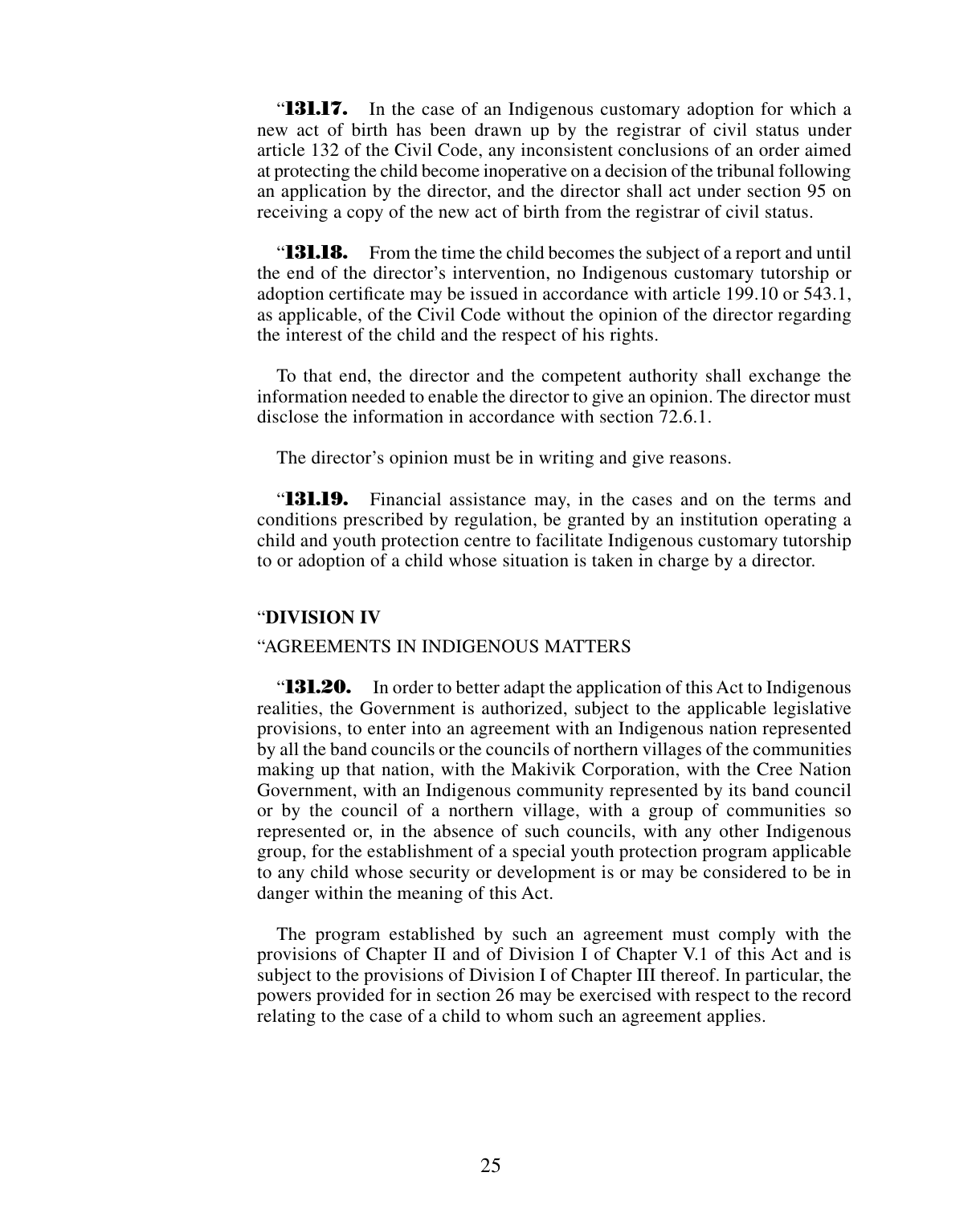**131.17.** In the case of an Indigenous customary adoption for which a new act of birth has been drawn up by the registrar of civil status under article 132 of the Civil Code, any inconsistent conclusions of an order aimed at protecting the child become inoperative on a decision of the tribunal following an application by the director, and the director shall act under section 95 on receiving a copy of the new act of birth from the registrar of civil status.

"**131.18.** From the time the child becomes the subject of a report and until the end of the director's intervention, no Indigenous customary tutorship or adoption certificate may be issued in accordance with article 199.10 or 543.1, as applicable, of the Civil Code without the opinion of the director regarding the interest of the child and the respect of his rights.

To that end, the director and the competent authority shall exchange the information needed to enable the director to give an opinion. The director must disclose the information in accordance with section 72.6.1.

The director's opinion must be in writing and give reasons.

"**131.19.** Financial assistance may, in the cases and on the terms and conditions prescribed by regulation, be granted by an institution operating a child and youth protection centre to facilitate Indigenous customary tutorship to or adoption of a child whose situation is taken in charge by a director.

## "**DIVISION IV**

#### "AGREEMENTS IN INDIGENOUS MATTERS

"**131.20.** In order to better adapt the application of this Act to Indigenous realities, the Government is authorized, subject to the applicable legislative provisions, to enter into an agreement with an Indigenous nation represented by all the band councils or the councils of northern villages of the communities making up that nation, with the Makivik Corporation, with the Cree Nation Government, with an Indigenous community represented by its band council or by the council of a northern village, with a group of communities so represented or, in the absence of such councils, with any other Indigenous group, for the establishment of a special youth protection program applicable to any child whose security or development is or may be considered to be in danger within the meaning of this Act.

The program established by such an agreement must comply with the provisions of Chapter II and of Division I of Chapter V.1 of this Act and is subject to the provisions of Division I of Chapter III thereof. In particular, the powers provided for in section 26 may be exercised with respect to the record relating to the case of a child to whom such an agreement applies.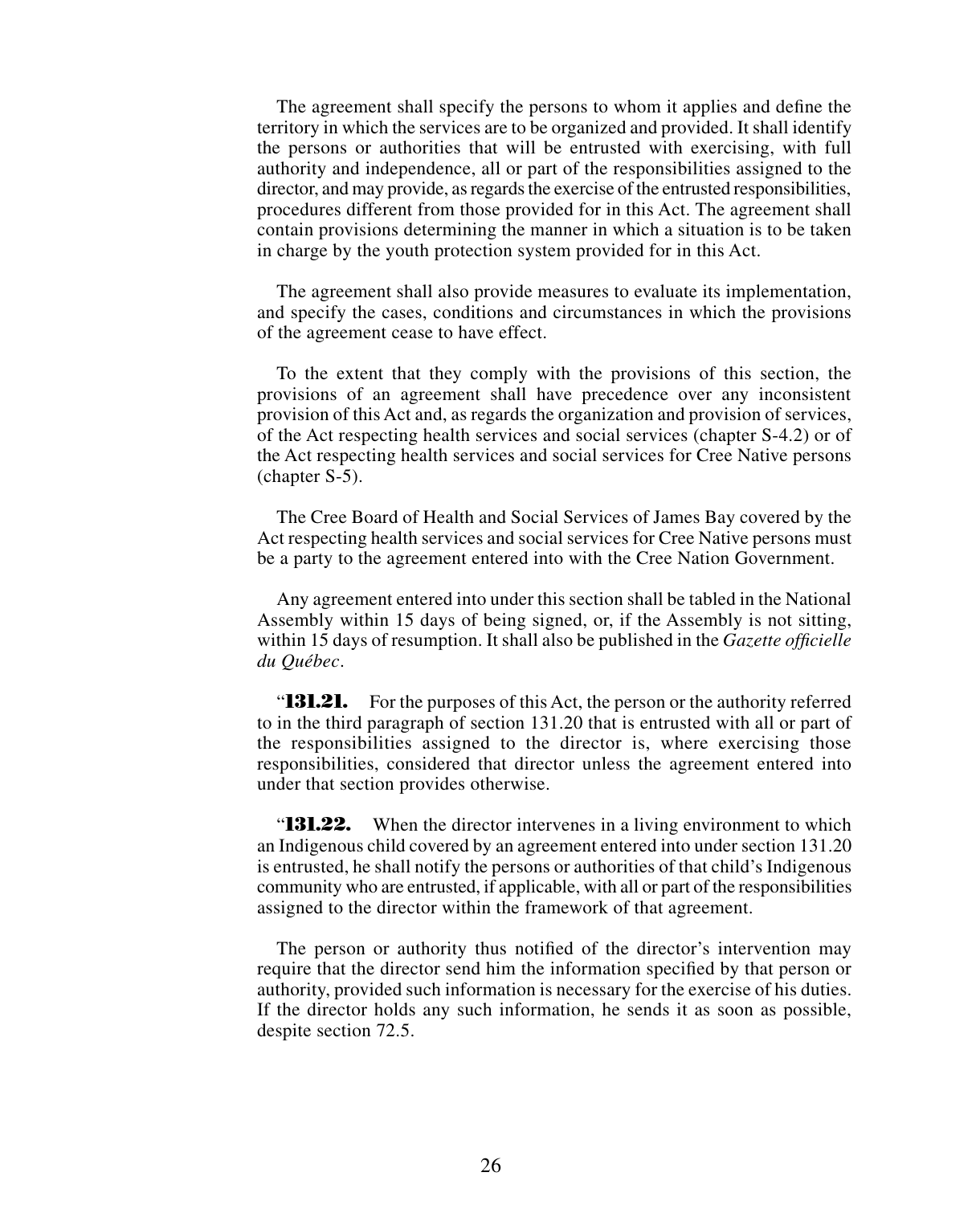The agreement shall specify the persons to whom it applies and define the territory in which the services are to be organized and provided. It shall identify the persons or authorities that will be entrusted with exercising, with full authority and independence, all or part of the responsibilities assigned to the director, and may provide, as regards the exercise of the entrusted responsibilities, procedures different from those provided for in this Act. The agreement shall contain provisions determining the manner in which a situation is to be taken in charge by the youth protection system provided for in this Act.

The agreement shall also provide measures to evaluate its implementation, and specify the cases, conditions and circumstances in which the provisions of the agreement cease to have effect.

To the extent that they comply with the provisions of this section, the provisions of an agreement shall have precedence over any inconsistent provision of this Act and, as regards the organization and provision of services, of the Act respecting health services and social services (chapter S-4.2) or of the Act respecting health services and social services for Cree Native persons (chapter S-5).

The Cree Board of Health and Social Services of James Bay covered by the Act respecting health services and social services for Cree Native persons must be a party to the agreement entered into with the Cree Nation Government.

Any agreement entered into under this section shall be tabled in the National Assembly within 15 days of being signed, or, if the Assembly is not sitting, within 15 days of resumption. It shall also be published in the *Gazette officielle du Québec*.

"**131.21.** For the purposes of this Act, the person or the authority referred to in the third paragraph of section 131.20 that is entrusted with all or part of the responsibilities assigned to the director is, where exercising those responsibilities, considered that director unless the agreement entered into under that section provides otherwise.

"**131.22.** When the director intervenes in a living environment to which an Indigenous child covered by an agreement entered into under section 131.20 is entrusted, he shall notify the persons or authorities of that child's Indigenous community who are entrusted, if applicable, with all or part of the responsibilities assigned to the director within the framework of that agreement.

The person or authority thus notified of the director's intervention may require that the director send him the information specified by that person or authority, provided such information is necessary for the exercise of his duties. If the director holds any such information, he sends it as soon as possible, despite section 72.5.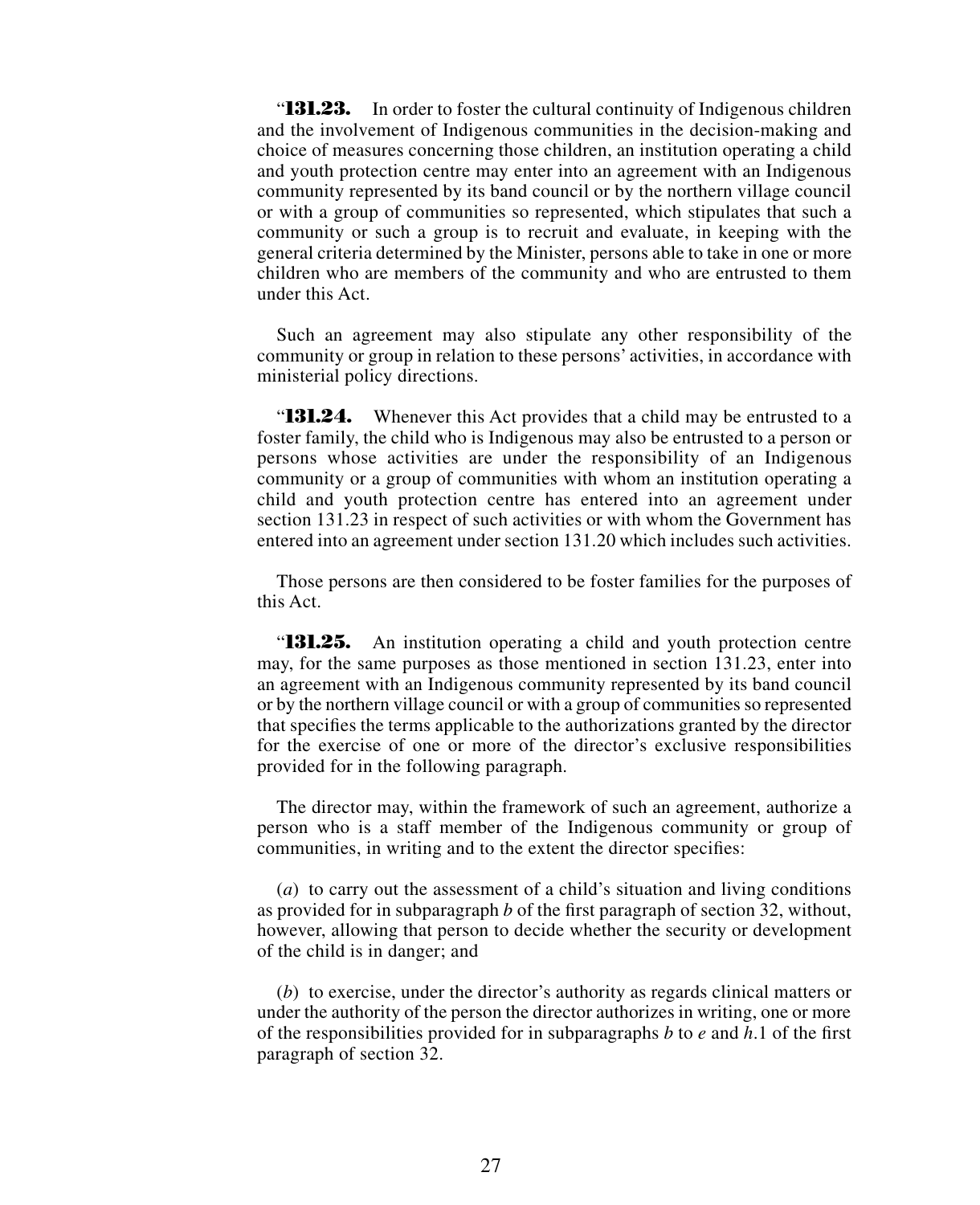"**131.23.** In order to foster the cultural continuity of Indigenous children and the involvement of Indigenous communities in the decision-making and choice of measures concerning those children, an institution operating a child and youth protection centre may enter into an agreement with an Indigenous community represented by its band council or by the northern village council or with a group of communities so represented, which stipulates that such a community or such a group is to recruit and evaluate, in keeping with the general criteria determined by the Minister, persons able to take in one or more children who are members of the community and who are entrusted to them under this Act.

Such an agreement may also stipulate any other responsibility of the community or group in relation to these persons' activities, in accordance with ministerial policy directions.

"**131.24.** Whenever this Act provides that a child may be entrusted to a foster family, the child who is Indigenous may also be entrusted to a person or persons whose activities are under the responsibility of an Indigenous community or a group of communities with whom an institution operating a child and youth protection centre has entered into an agreement under section 131.23 in respect of such activities or with whom the Government has entered into an agreement under section 131.20 which includes such activities.

Those persons are then considered to be foster families for the purposes of this Act.

"**131.25.** An institution operating a child and youth protection centre may, for the same purposes as those mentioned in section 131.23, enter into an agreement with an Indigenous community represented by its band council or by the northern village council or with a group of communities so represented that specifies the terms applicable to the authorizations granted by the director for the exercise of one or more of the director's exclusive responsibilities provided for in the following paragraph.

The director may, within the framework of such an agreement, authorize a person who is a staff member of the Indigenous community or group of communities, in writing and to the extent the director specifies:

(*a*) to carry out the assessment of a child's situation and living conditions as provided for in subparagraph *b* of the first paragraph of section 32, without, however, allowing that person to decide whether the security or development of the child is in danger; and

(*b*) to exercise, under the director's authority as regards clinical matters or under the authority of the person the director authorizes in writing, one or more of the responsibilities provided for in subparagraphs *b* to *e* and *h*.1 of the first paragraph of section 32.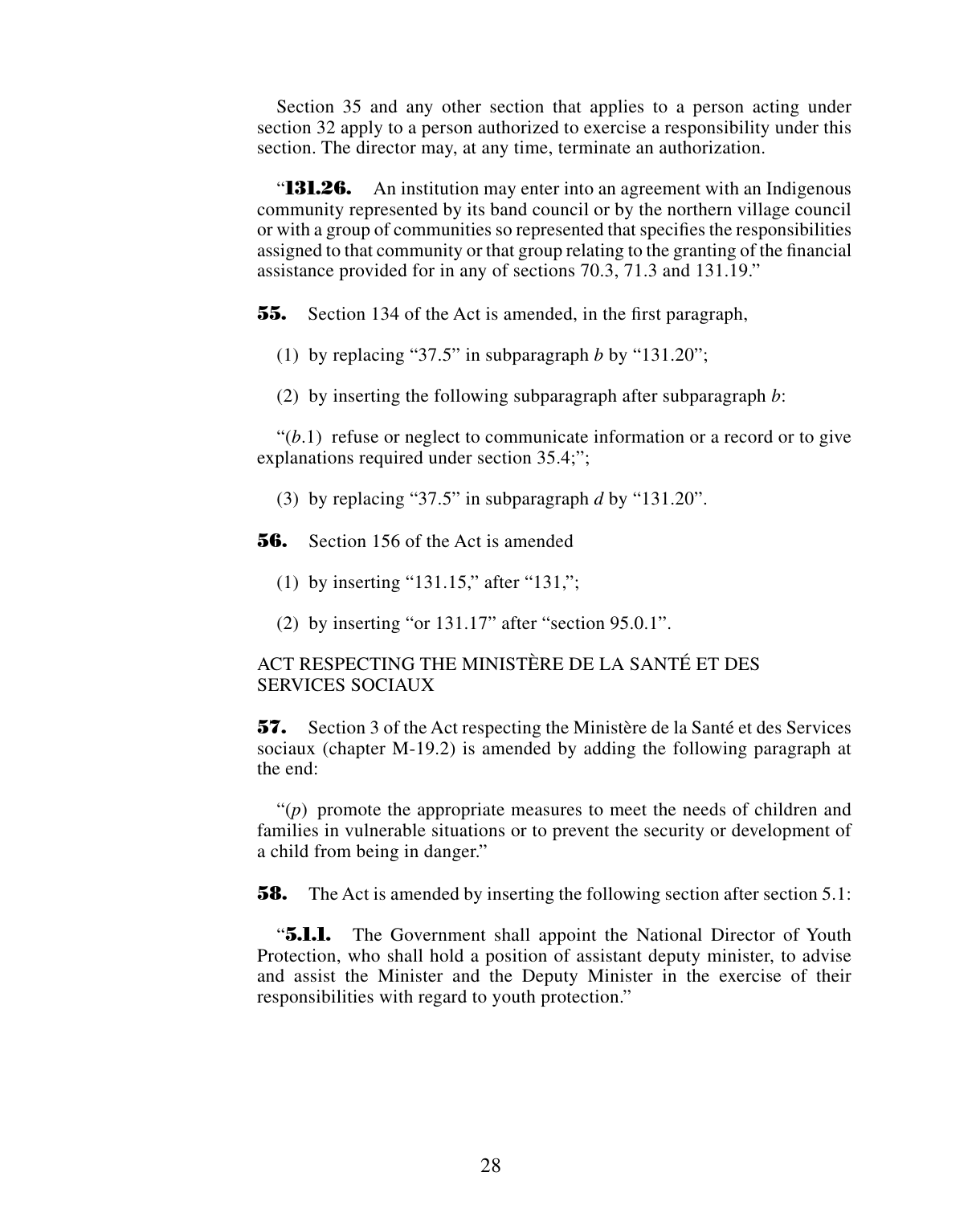Section 35 and any other section that applies to a person acting under section 32 apply to a person authorized to exercise a responsibility under this section. The director may, at any time, terminate an authorization.

"**131.26.** An institution may enter into an agreement with an Indigenous community represented by its band council or by the northern village council or with a group of communities so represented that specifies the responsibilities assigned to that community or that group relating to the granting of the financial assistance provided for in any of sections 70.3, 71.3 and 131.19."

**55.** Section 134 of the Act is amended, in the first paragraph,

(1) by replacing "37.5" in subparagraph *b* by "131.20";

(2) by inserting the following subparagraph after subparagraph *b*:

 $\mathcal{L}(b,1)$  refuse or neglect to communicate information or a record or to give explanations required under section 35.4;";

(3) by replacing "37.5" in subparagraph *d* by "131.20".

**56.** Section 156 of the Act is amended

(1) by inserting "131.15," after "131,";

(2) by inserting "or 131.17" after "section 95.0.1".

## ACT RESPECTING THE MINISTÈRE DE LA SANTÉ ET DES SERVICES SOCIAUX

**57.** Section 3 of the Act respecting the Ministère de la Santé et des Services sociaux (chapter M-19.2) is amended by adding the following paragraph at the end:

"(*p*) promote the appropriate measures to meet the needs of children and families in vulnerable situations or to prevent the security or development of a child from being in danger."

**58.** The Act is amended by inserting the following section after section 5.1:

"**5.1.1.** The Government shall appoint the National Director of Youth Protection, who shall hold a position of assistant deputy minister, to advise and assist the Minister and the Deputy Minister in the exercise of their responsibilities with regard to youth protection."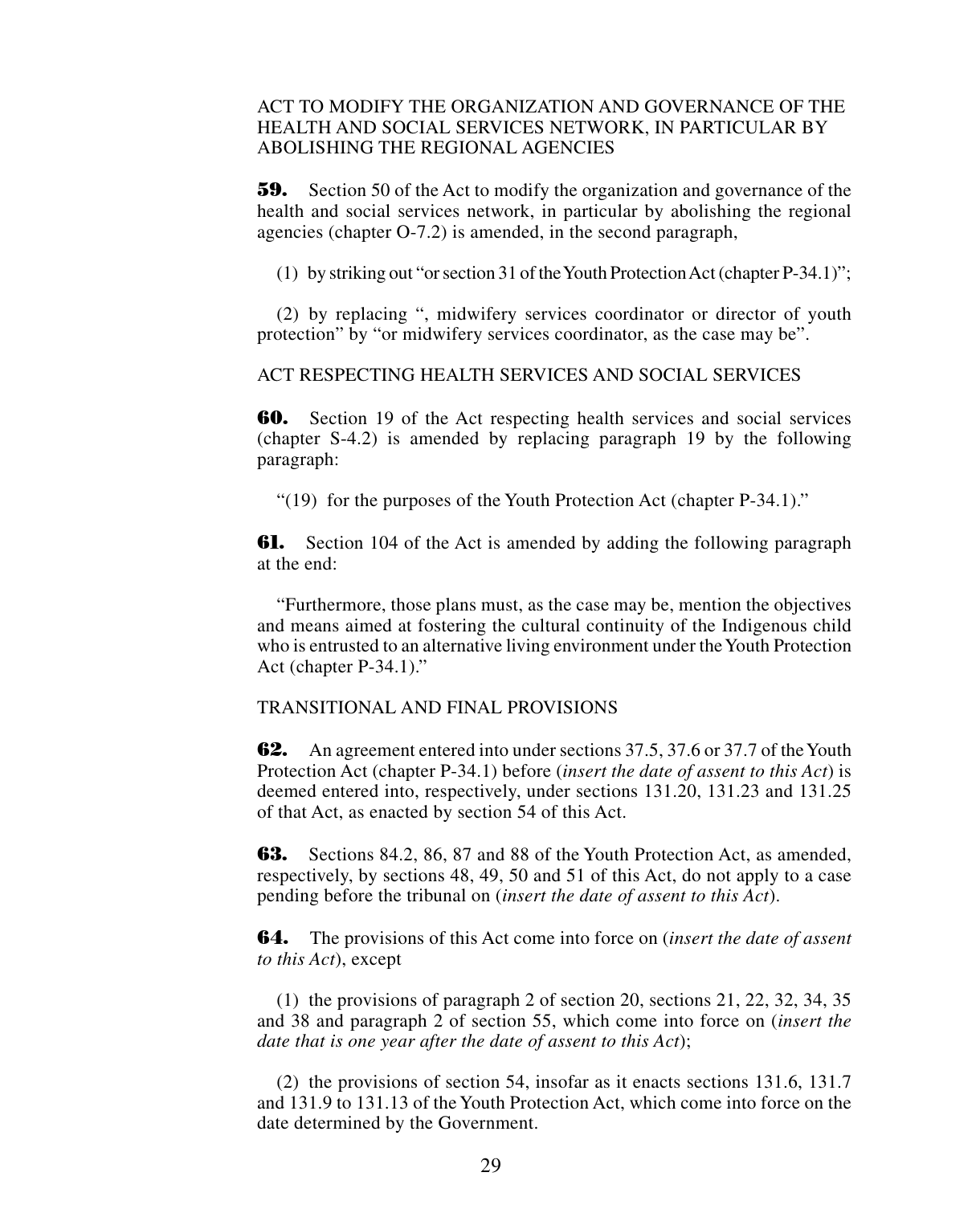## ACT TO MODIFY THE ORGANIZATION AND GOVERNANCE OF THE HEALTH AND SOCIAL SERVICES NETWORK, IN PARTICULAR BY ABOLISHING THE REGIONAL AGENCIES

**59.** Section 50 of the Act to modify the organization and governance of the health and social services network, in particular by abolishing the regional agencies (chapter O-7.2) is amended, in the second paragraph,

(1) by striking out "or section 31 of the Youth Protection Act (chapter P-34.1)";

(2) by replacing ", midwifery services coordinator or director of youth protection" by "or midwifery services coordinator, as the case may be".

## ACT RESPECTING HEALTH SERVICES AND SOCIAL SERVICES

**60.** Section 19 of the Act respecting health services and social services (chapter S-4.2) is amended by replacing paragraph 19 by the following paragraph:

"(19) for the purposes of the Youth Protection Act (chapter P-34.1)."

**61.** Section 104 of the Act is amended by adding the following paragraph at the end:

"Furthermore, those plans must, as the case may be, mention the objectives and means aimed at fostering the cultural continuity of the Indigenous child who is entrusted to an alternative living environment under the Youth Protection Act (chapter P-34.1)."

## TRANSITIONAL AND FINAL PROVISIONS

**62.** An agreement entered into under sections 37.5, 37.6 or 37.7 of the Youth Protection Act (chapter P-34.1) before (*insert the date of assent to this Act*) is deemed entered into, respectively, under sections 131.20, 131.23 and 131.25 of that Act, as enacted by section 54 of this Act.

**63.** Sections 84.2, 86, 87 and 88 of the Youth Protection Act, as amended, respectively, by sections 48, 49, 50 and 51 of this Act, do not apply to a case pending before the tribunal on (*insert the date of assent to this Act*).

**64.** The provisions of this Act come into force on (*insert the date of assent to this Act*), except

(1) the provisions of paragraph 2 of section 20, sections 21, 22, 32, 34, 35 and 38 and paragraph 2 of section 55, which come into force on (*insert the date that is one year after the date of assent to this Act*);

(2) the provisions of section 54, insofar as it enacts sections 131.6, 131.7 and 131.9 to 131.13 of the Youth Protection Act, which come into force on the date determined by the Government.